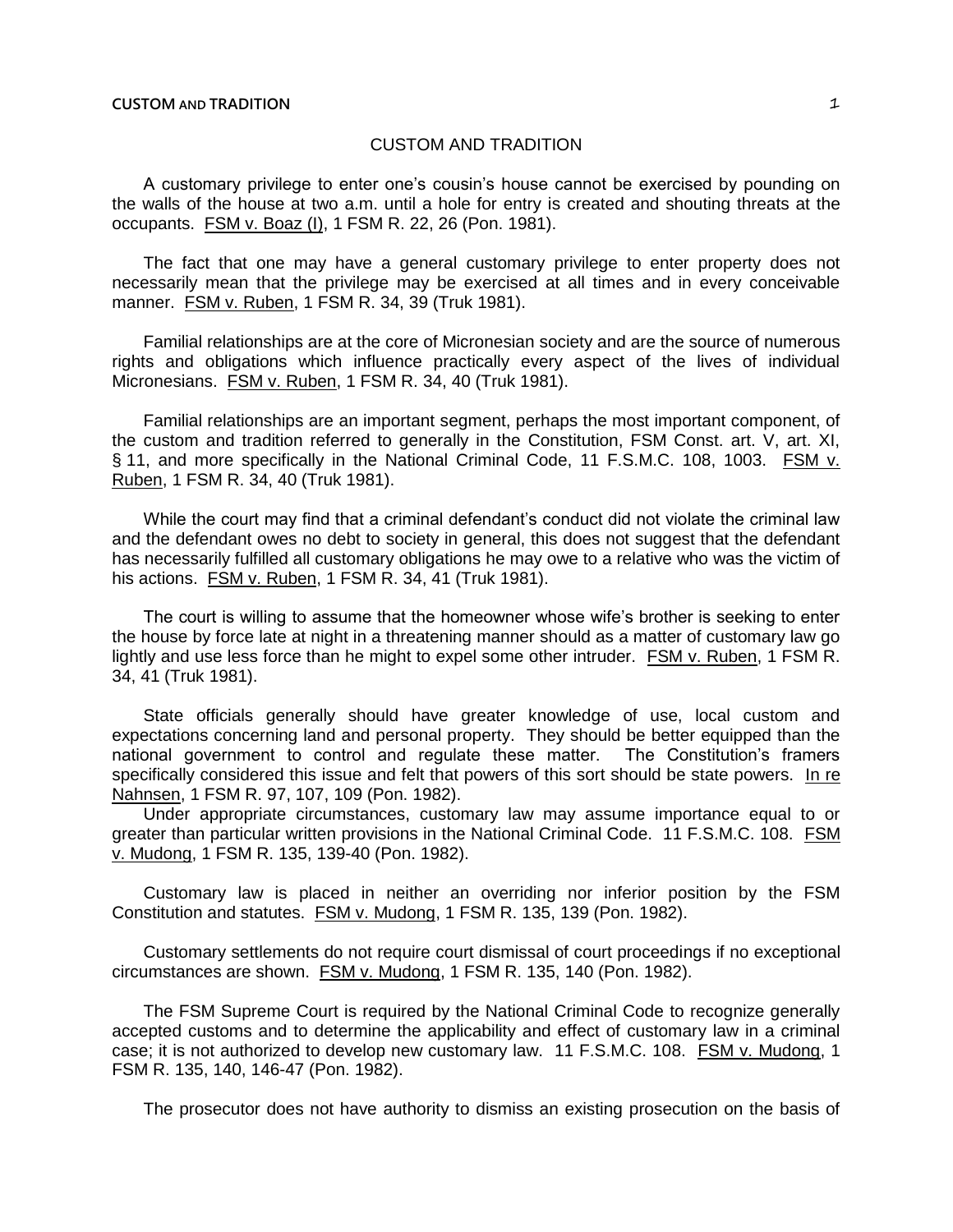A customary privilege to enter one's cousin's house cannot be exercised by pounding on the walls of the house at two a.m. until a hole for entry is created and shouting threats at the occupants. FSM v. Boaz (I), 1 FSM R. 22, 26 (Pon. 1981).

The fact that one may have a general customary privilege to enter property does not necessarily mean that the privilege may be exercised at all times and in every conceivable manner. FSM v. Ruben, 1 FSM R. 34, 39 (Truk 1981).

Familial relationships are at the core of Micronesian society and are the source of numerous rights and obligations which influence practically every aspect of the lives of individual Micronesians. FSM v. Ruben, 1 FSM R. 34, 40 (Truk 1981).

Familial relationships are an important segment, perhaps the most important component, of the custom and tradition referred to generally in the Constitution, FSM Const. art. V, art. XI, § 11, and more specifically in the National Criminal Code, 11 F.S.M.C. 108, 1003. FSM v. Ruben, 1 FSM R. 34, 40 (Truk 1981).

While the court may find that a criminal defendant's conduct did not violate the criminal law and the defendant owes no debt to society in general, this does not suggest that the defendant has necessarily fulfilled all customary obligations he may owe to a relative who was the victim of his actions. FSM v. Ruben, 1 FSM R. 34, 41 (Truk 1981).

The court is willing to assume that the homeowner whose wife's brother is seeking to enter the house by force late at night in a threatening manner should as a matter of customary law go lightly and use less force than he might to expel some other intruder. FSM v. Ruben, 1 FSM R. 34, 41 (Truk 1981).

State officials generally should have greater knowledge of use, local custom and expectations concerning land and personal property. They should be better equipped than the national government to control and regulate these matter. The Constitution's framers specifically considered this issue and felt that powers of this sort should be state powers. In re Nahnsen, 1 FSM R. 97, 107, 109 (Pon. 1982).

Under appropriate circumstances, customary law may assume importance equal to or greater than particular written provisions in the National Criminal Code. 11 F.S.M.C. 108. FSM v. Mudong, 1 FSM R. 135, 139-40 (Pon. 1982).

Customary law is placed in neither an overriding nor inferior position by the FSM Constitution and statutes. FSM v. Mudong, 1 FSM R. 135, 139 (Pon. 1982).

Customary settlements do not require court dismissal of court proceedings if no exceptional circumstances are shown. FSM v. Mudong, 1 FSM R. 135, 140 (Pon. 1982).

The FSM Supreme Court is required by the National Criminal Code to recognize generally accepted customs and to determine the applicability and effect of customary law in a criminal case; it is not authorized to develop new customary law. 11 F.S.M.C. 108. FSM v. Mudong, 1 FSM R. 135, 140, 146-47 (Pon. 1982).

The prosecutor does not have authority to dismiss an existing prosecution on the basis of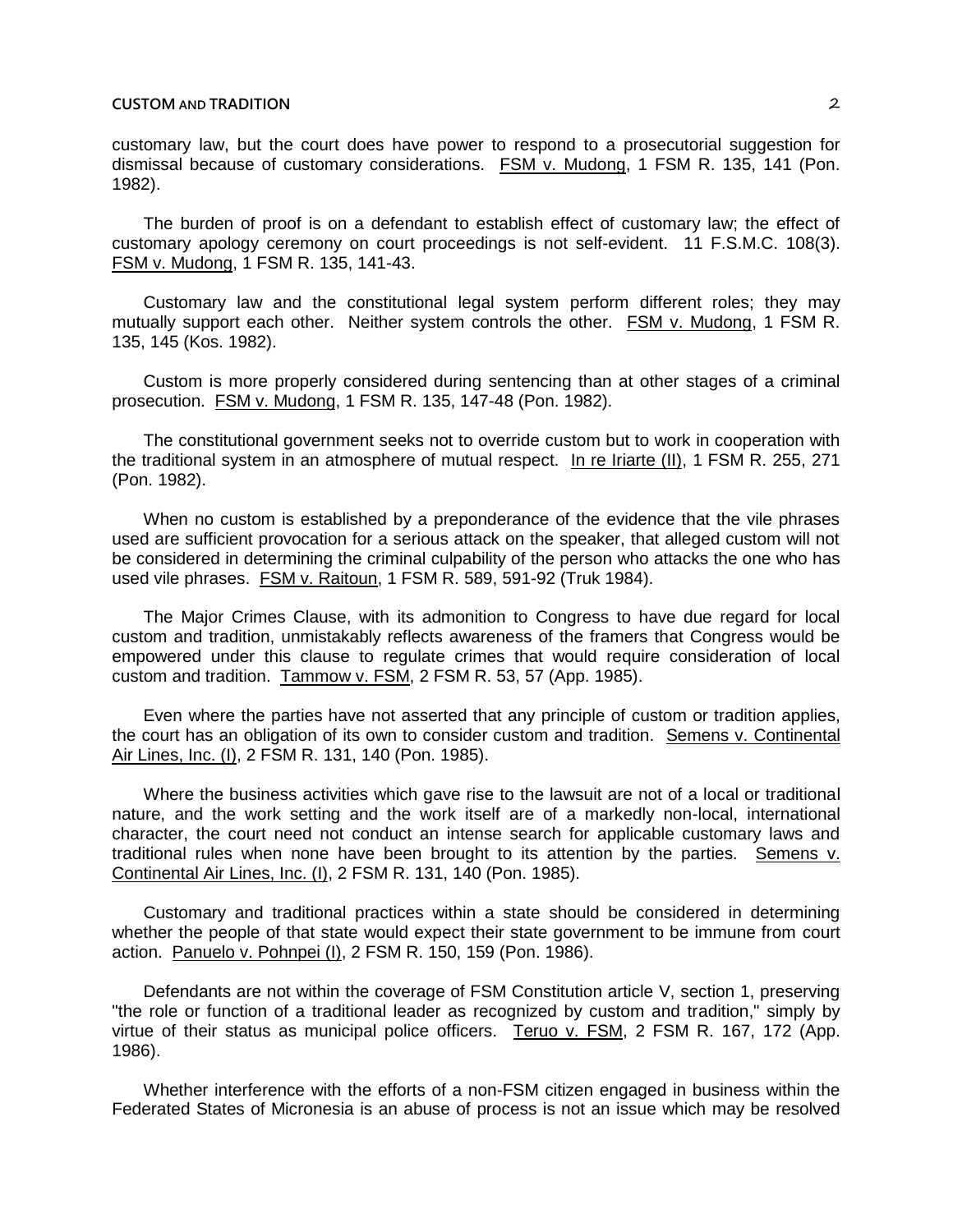customary law, but the court does have power to respond to a prosecutorial suggestion for dismissal because of customary considerations. FSM v. Mudong, 1 FSM R. 135, 141 (Pon. 1982).

The burden of proof is on a defendant to establish effect of customary law; the effect of customary apology ceremony on court proceedings is not self-evident. 11 F.S.M.C. 108(3). FSM v. Mudong, 1 FSM R. 135, 141-43.

Customary law and the constitutional legal system perform different roles; they may mutually support each other. Neither system controls the other. FSM v. Mudong, 1 FSM R. 135, 145 (Kos. 1982).

Custom is more properly considered during sentencing than at other stages of a criminal prosecution. FSM v. Mudong, 1 FSM R. 135, 147-48 (Pon. 1982).

The constitutional government seeks not to override custom but to work in cooperation with the traditional system in an atmosphere of mutual respect. In re Iriarte (II), 1 FSM R. 255, 271 (Pon. 1982).

When no custom is established by a preponderance of the evidence that the vile phrases used are sufficient provocation for a serious attack on the speaker, that alleged custom will not be considered in determining the criminal culpability of the person who attacks the one who has used vile phrases. FSM v. Raitoun, 1 FSM R. 589, 591-92 (Truk 1984).

The Major Crimes Clause, with its admonition to Congress to have due regard for local custom and tradition, unmistakably reflects awareness of the framers that Congress would be empowered under this clause to regulate crimes that would require consideration of local custom and tradition. Tammow v. FSM, 2 FSM R. 53, 57 (App. 1985).

Even where the parties have not asserted that any principle of custom or tradition applies, the court has an obligation of its own to consider custom and tradition. Semens v. Continental Air Lines, Inc. (I), 2 FSM R. 131, 140 (Pon. 1985).

Where the business activities which gave rise to the lawsuit are not of a local or traditional nature, and the work setting and the work itself are of a markedly non-local, international character, the court need not conduct an intense search for applicable customary laws and traditional rules when none have been brought to its attention by the parties. Semens v. Continental Air Lines, Inc. (I), 2 FSM R. 131, 140 (Pon. 1985).

Customary and traditional practices within a state should be considered in determining whether the people of that state would expect their state government to be immune from court action. Panuelo v. Pohnpei (I), 2 FSM R. 150, 159 (Pon. 1986).

Defendants are not within the coverage of FSM Constitution article V, section 1, preserving "the role or function of a traditional leader as recognized by custom and tradition," simply by virtue of their status as municipal police officers. Teruo v. FSM, 2 FSM R. 167, 172 (App. 1986).

Whether interference with the efforts of a non-FSM citizen engaged in business within the Federated States of Micronesia is an abuse of process is not an issue which may be resolved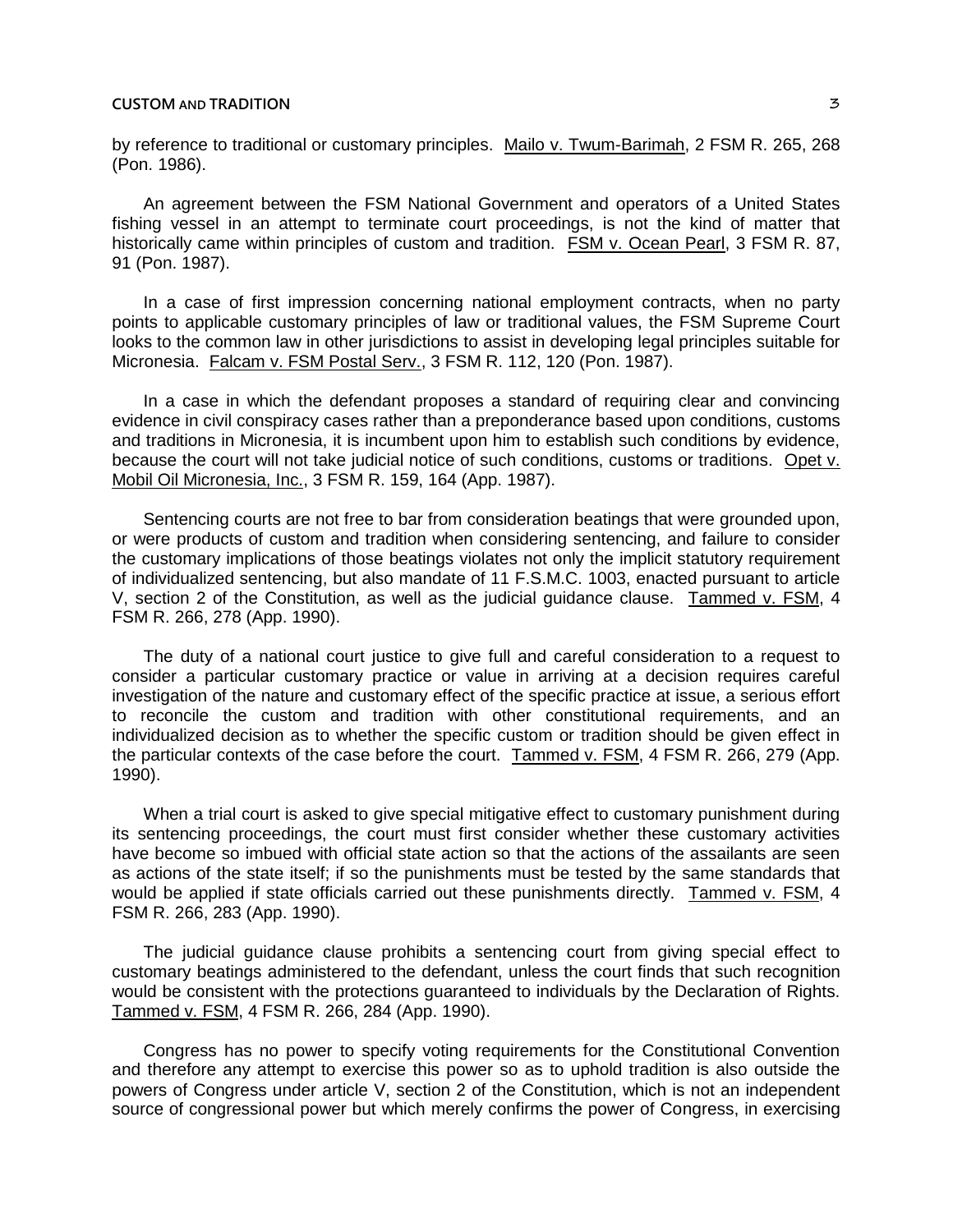by reference to traditional or customary principles. Mailo v. Twum-Barimah, 2 FSM R. 265, 268 (Pon. 1986).

An agreement between the FSM National Government and operators of a United States fishing vessel in an attempt to terminate court proceedings, is not the kind of matter that historically came within principles of custom and tradition. FSM v. Ocean Pearl, 3 FSM R. 87, 91 (Pon. 1987).

In a case of first impression concerning national employment contracts, when no party points to applicable customary principles of law or traditional values, the FSM Supreme Court looks to the common law in other jurisdictions to assist in developing legal principles suitable for Micronesia. Falcam v. FSM Postal Serv., 3 FSM R. 112, 120 (Pon. 1987).

In a case in which the defendant proposes a standard of requiring clear and convincing evidence in civil conspiracy cases rather than a preponderance based upon conditions, customs and traditions in Micronesia, it is incumbent upon him to establish such conditions by evidence, because the court will not take judicial notice of such conditions, customs or traditions. Opet v. Mobil Oil Micronesia, Inc., 3 FSM R. 159, 164 (App. 1987).

Sentencing courts are not free to bar from consideration beatings that were grounded upon, or were products of custom and tradition when considering sentencing, and failure to consider the customary implications of those beatings violates not only the implicit statutory requirement of individualized sentencing, but also mandate of 11 F.S.M.C. 1003, enacted pursuant to article V, section 2 of the Constitution, as well as the judicial guidance clause. Tammed v. FSM, 4 FSM R. 266, 278 (App. 1990).

The duty of a national court justice to give full and careful consideration to a request to consider a particular customary practice or value in arriving at a decision requires careful investigation of the nature and customary effect of the specific practice at issue, a serious effort to reconcile the custom and tradition with other constitutional requirements, and an individualized decision as to whether the specific custom or tradition should be given effect in the particular contexts of the case before the court. Tammed v. FSM, 4 FSM R. 266, 279 (App. 1990).

When a trial court is asked to give special mitigative effect to customary punishment during its sentencing proceedings, the court must first consider whether these customary activities have become so imbued with official state action so that the actions of the assailants are seen as actions of the state itself; if so the punishments must be tested by the same standards that would be applied if state officials carried out these punishments directly. Tammed v. FSM, 4 FSM R. 266, 283 (App. 1990).

The judicial guidance clause prohibits a sentencing court from giving special effect to customary beatings administered to the defendant, unless the court finds that such recognition would be consistent with the protections guaranteed to individuals by the Declaration of Rights. Tammed v. FSM, 4 FSM R. 266, 284 (App. 1990).

Congress has no power to specify voting requirements for the Constitutional Convention and therefore any attempt to exercise this power so as to uphold tradition is also outside the powers of Congress under article V, section 2 of the Constitution, which is not an independent source of congressional power but which merely confirms the power of Congress, in exercising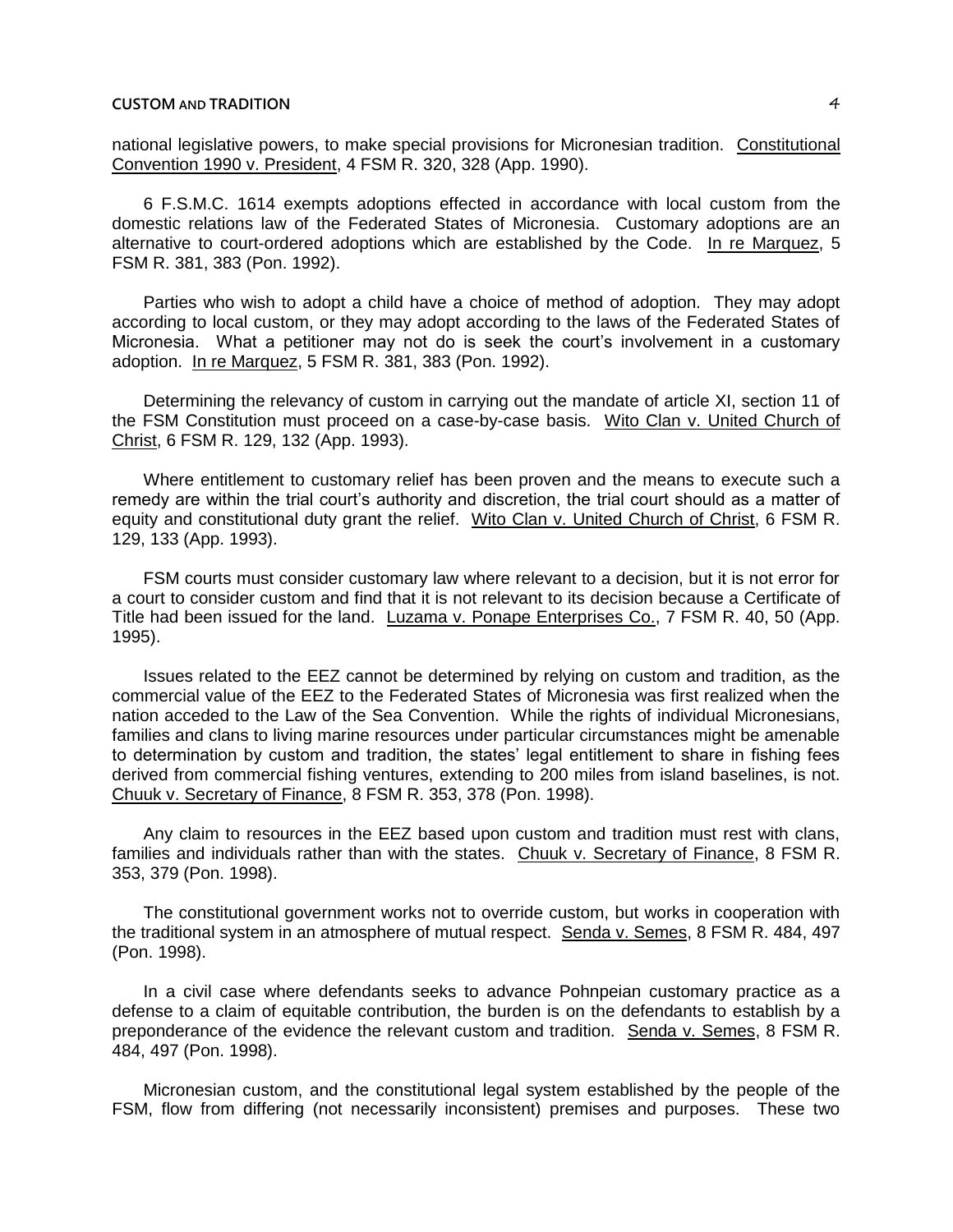national legislative powers, to make special provisions for Micronesian tradition. Constitutional Convention 1990 v. President, 4 FSM R. 320, 328 (App. 1990).

6 F.S.M.C. 1614 exempts adoptions effected in accordance with local custom from the domestic relations law of the Federated States of Micronesia. Customary adoptions are an alternative to court-ordered adoptions which are established by the Code. In re Marquez, 5 FSM R. 381, 383 (Pon. 1992).

Parties who wish to adopt a child have a choice of method of adoption. They may adopt according to local custom, or they may adopt according to the laws of the Federated States of Micronesia. What a petitioner may not do is seek the court's involvement in a customary adoption. In re Marquez, 5 FSM R. 381, 383 (Pon. 1992).

Determining the relevancy of custom in carrying out the mandate of article XI, section 11 of the FSM Constitution must proceed on a case-by-case basis. Wito Clan v. United Church of Christ, 6 FSM R. 129, 132 (App. 1993).

Where entitlement to customary relief has been proven and the means to execute such a remedy are within the trial court's authority and discretion, the trial court should as a matter of equity and constitutional duty grant the relief. Wito Clan v. United Church of Christ, 6 FSM R. 129, 133 (App. 1993).

FSM courts must consider customary law where relevant to a decision, but it is not error for a court to consider custom and find that it is not relevant to its decision because a Certificate of Title had been issued for the land. Luzama v. Ponape Enterprises Co., 7 FSM R. 40, 50 (App. 1995).

Issues related to the EEZ cannot be determined by relying on custom and tradition, as the commercial value of the EEZ to the Federated States of Micronesia was first realized when the nation acceded to the Law of the Sea Convention. While the rights of individual Micronesians, families and clans to living marine resources under particular circumstances might be amenable to determination by custom and tradition, the states' legal entitlement to share in fishing fees derived from commercial fishing ventures, extending to 200 miles from island baselines, is not. Chuuk v. Secretary of Finance, 8 FSM R. 353, 378 (Pon. 1998).

Any claim to resources in the EEZ based upon custom and tradition must rest with clans, families and individuals rather than with the states. Chuuk v. Secretary of Finance, 8 FSM R. 353, 379 (Pon. 1998).

The constitutional government works not to override custom, but works in cooperation with the traditional system in an atmosphere of mutual respect. Senda v. Semes, 8 FSM R. 484, 497 (Pon. 1998).

In a civil case where defendants seeks to advance Pohnpeian customary practice as a defense to a claim of equitable contribution, the burden is on the defendants to establish by a preponderance of the evidence the relevant custom and tradition. Senda v. Semes, 8 FSM R. 484, 497 (Pon. 1998).

Micronesian custom, and the constitutional legal system established by the people of the FSM, flow from differing (not necessarily inconsistent) premises and purposes. These two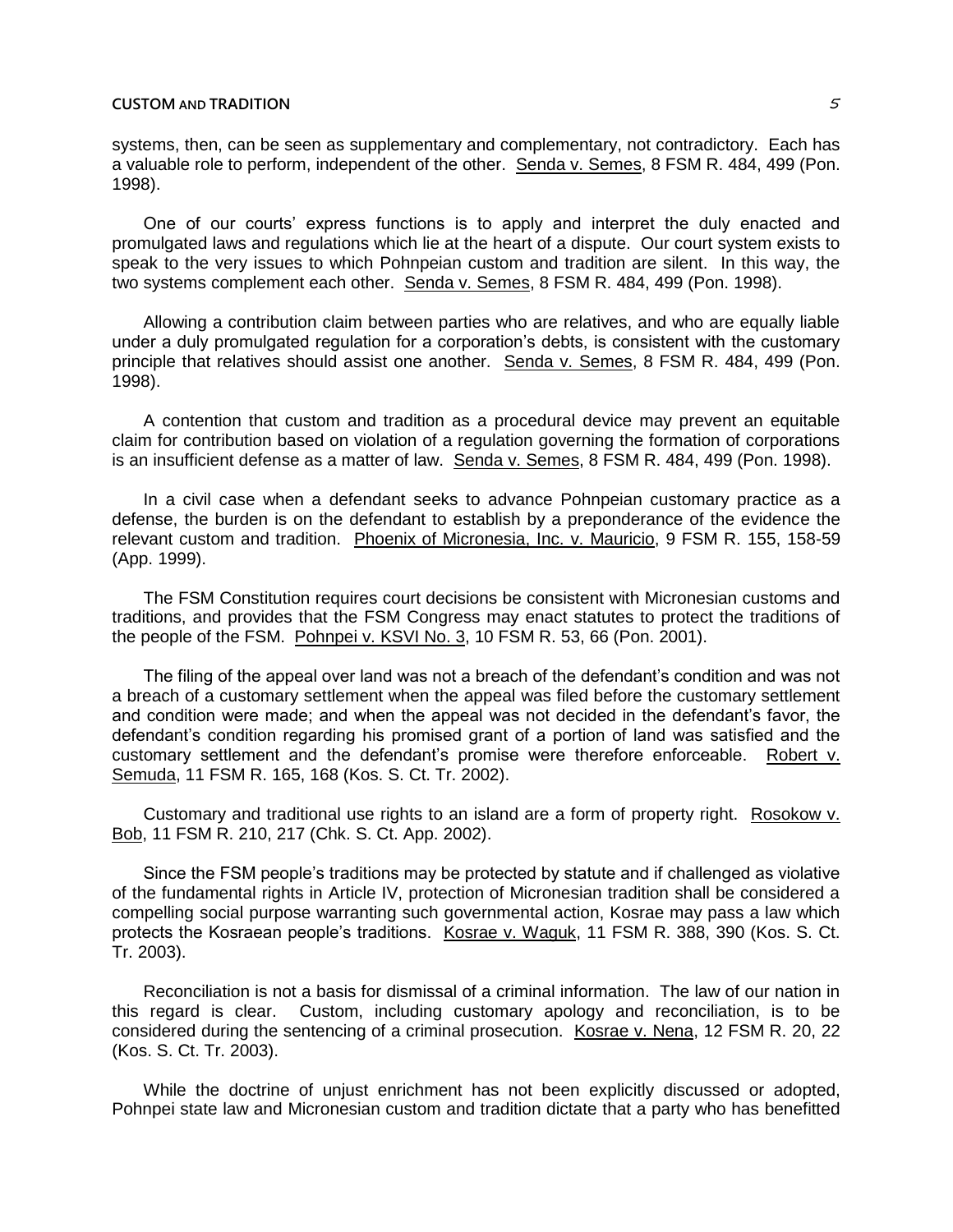systems, then, can be seen as supplementary and complementary, not contradictory. Each has a valuable role to perform, independent of the other. Senda v. Semes, 8 FSM R. 484, 499 (Pon. 1998).

One of our courts' express functions is to apply and interpret the duly enacted and promulgated laws and regulations which lie at the heart of a dispute. Our court system exists to speak to the very issues to which Pohnpeian custom and tradition are silent. In this way, the two systems complement each other. Senda v. Semes, 8 FSM R. 484, 499 (Pon. 1998).

Allowing a contribution claim between parties who are relatives, and who are equally liable under a duly promulgated regulation for a corporation's debts, is consistent with the customary principle that relatives should assist one another. Senda v. Semes, 8 FSM R. 484, 499 (Pon. 1998).

A contention that custom and tradition as a procedural device may prevent an equitable claim for contribution based on violation of a regulation governing the formation of corporations is an insufficient defense as a matter of law. Senda v. Semes, 8 FSM R. 484, 499 (Pon. 1998).

In a civil case when a defendant seeks to advance Pohnpeian customary practice as a defense, the burden is on the defendant to establish by a preponderance of the evidence the relevant custom and tradition. Phoenix of Micronesia, Inc. v. Mauricio, 9 FSM R. 155, 158-59 (App. 1999).

The FSM Constitution requires court decisions be consistent with Micronesian customs and traditions, and provides that the FSM Congress may enact statutes to protect the traditions of the people of the FSM. Pohnpei v. KSVI No. 3, 10 FSM R. 53, 66 (Pon. 2001).

The filing of the appeal over land was not a breach of the defendant's condition and was not a breach of a customary settlement when the appeal was filed before the customary settlement and condition were made; and when the appeal was not decided in the defendant's favor, the defendant's condition regarding his promised grant of a portion of land was satisfied and the customary settlement and the defendant's promise were therefore enforceable. Robert v. Semuda, 11 FSM R. 165, 168 (Kos. S. Ct. Tr. 2002).

Customary and traditional use rights to an island are a form of property right. Rosokow v. Bob, 11 FSM R. 210, 217 (Chk. S. Ct. App. 2002).

Since the FSM people's traditions may be protected by statute and if challenged as violative of the fundamental rights in Article IV, protection of Micronesian tradition shall be considered a compelling social purpose warranting such governmental action, Kosrae may pass a law which protects the Kosraean people's traditions. Kosrae v. Waguk, 11 FSM R. 388, 390 (Kos. S. Ct. Tr. 2003).

Reconciliation is not a basis for dismissal of a criminal information. The law of our nation in this regard is clear. Custom, including customary apology and reconciliation, is to be considered during the sentencing of a criminal prosecution. Kosrae v. Nena, 12 FSM R. 20, 22 (Kos. S. Ct. Tr. 2003).

While the doctrine of unjust enrichment has not been explicitly discussed or adopted, Pohnpei state law and Micronesian custom and tradition dictate that a party who has benefitted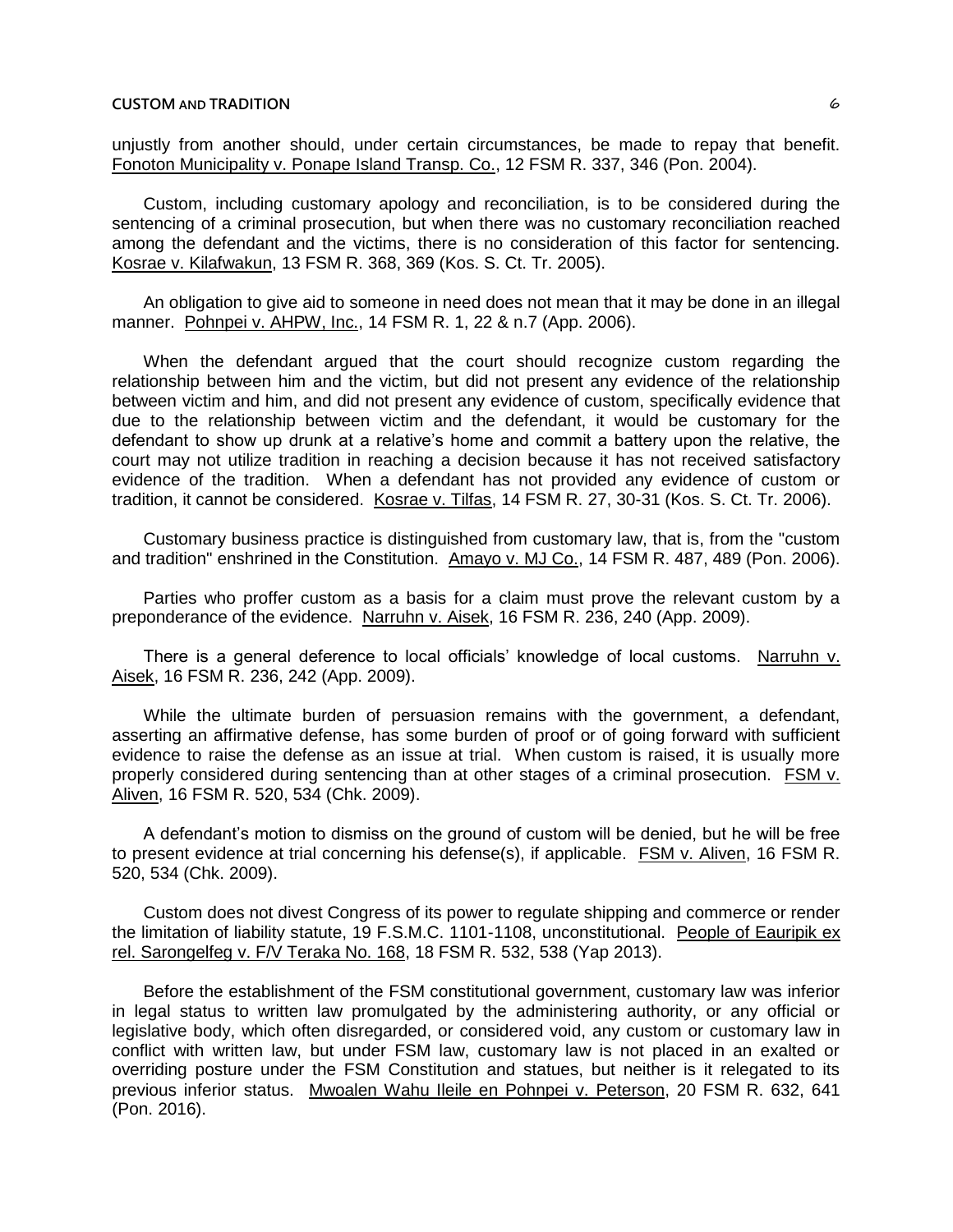unjustly from another should, under certain circumstances, be made to repay that benefit. Fonoton Municipality v. Ponape Island Transp. Co., 12 FSM R. 337, 346 (Pon. 2004).

Custom, including customary apology and reconciliation, is to be considered during the sentencing of a criminal prosecution, but when there was no customary reconciliation reached among the defendant and the victims, there is no consideration of this factor for sentencing. Kosrae v. Kilafwakun, 13 FSM R. 368, 369 (Kos. S. Ct. Tr. 2005).

An obligation to give aid to someone in need does not mean that it may be done in an illegal manner. Pohnpei v. AHPW, Inc., 14 FSM R. 1, 22 & n.7 (App. 2006).

When the defendant argued that the court should recognize custom regarding the relationship between him and the victim, but did not present any evidence of the relationship between victim and him, and did not present any evidence of custom, specifically evidence that due to the relationship between victim and the defendant, it would be customary for the defendant to show up drunk at a relative's home and commit a battery upon the relative, the court may not utilize tradition in reaching a decision because it has not received satisfactory evidence of the tradition. When a defendant has not provided any evidence of custom or tradition, it cannot be considered. Kosrae v. Tilfas, 14 FSM R. 27, 30-31 (Kos. S. Ct. Tr. 2006).

Customary business practice is distinguished from customary law, that is, from the "custom and tradition" enshrined in the Constitution. Amayo v. MJ Co., 14 FSM R. 487, 489 (Pon. 2006).

Parties who proffer custom as a basis for a claim must prove the relevant custom by a preponderance of the evidence. Narruhn v. Aisek, 16 FSM R. 236, 240 (App. 2009).

There is a general deference to local officials' knowledge of local customs. Narruhn v. Aisek, 16 FSM R. 236, 242 (App. 2009).

While the ultimate burden of persuasion remains with the government, a defendant, asserting an affirmative defense, has some burden of proof or of going forward with sufficient evidence to raise the defense as an issue at trial. When custom is raised, it is usually more properly considered during sentencing than at other stages of a criminal prosecution. FSM v. Aliven, 16 FSM R. 520, 534 (Chk. 2009).

A defendant's motion to dismiss on the ground of custom will be denied, but he will be free to present evidence at trial concerning his defense(s), if applicable. FSM v. Aliven, 16 FSM R. 520, 534 (Chk. 2009).

Custom does not divest Congress of its power to regulate shipping and commerce or render the limitation of liability statute, 19 F.S.M.C. 1101-1108, unconstitutional. People of Eauripik ex rel. Sarongelfeg v. F/V Teraka No. 168, 18 FSM R. 532, 538 (Yap 2013).

Before the establishment of the FSM constitutional government, customary law was inferior in legal status to written law promulgated by the administering authority, or any official or legislative body, which often disregarded, or considered void, any custom or customary law in conflict with written law, but under FSM law, customary law is not placed in an exalted or overriding posture under the FSM Constitution and statues, but neither is it relegated to its previous inferior status. Mwoalen Wahu Ileile en Pohnpei v. Peterson, 20 FSM R. 632, 641 (Pon. 2016).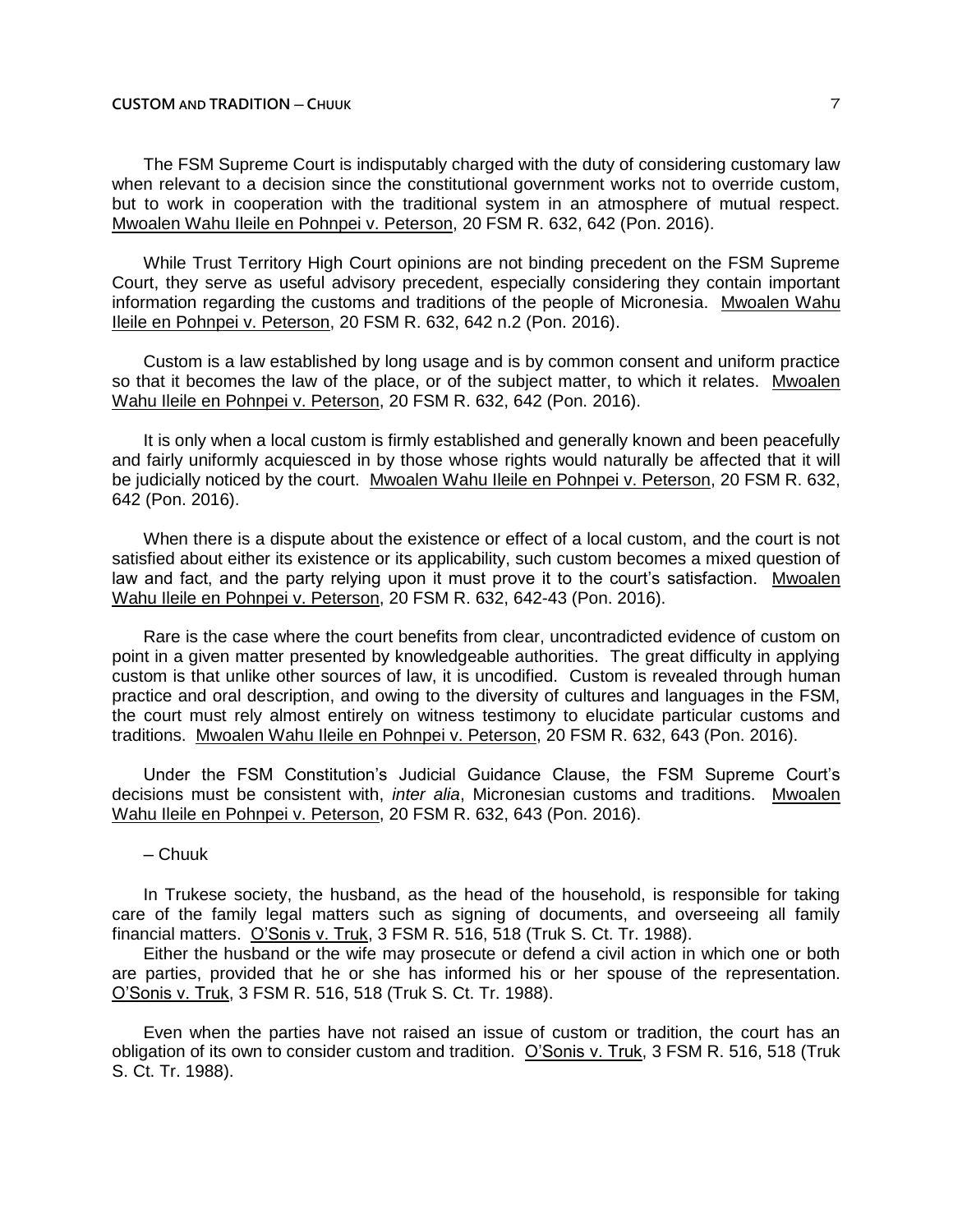The FSM Supreme Court is indisputably charged with the duty of considering customary law when relevant to a decision since the constitutional government works not to override custom, but to work in cooperation with the traditional system in an atmosphere of mutual respect. Mwoalen Wahu Ileile en Pohnpei v. Peterson, 20 FSM R. 632, 642 (Pon. 2016).

While Trust Territory High Court opinions are not binding precedent on the FSM Supreme Court, they serve as useful advisory precedent, especially considering they contain important information regarding the customs and traditions of the people of Micronesia. Mwoalen Wahu Ileile en Pohnpei v. Peterson, 20 FSM R. 632, 642 n.2 (Pon. 2016).

Custom is a law established by long usage and is by common consent and uniform practice so that it becomes the law of the place, or of the subject matter, to which it relates. Mwoalen Wahu Ileile en Pohnpei v. Peterson, 20 FSM R. 632, 642 (Pon. 2016).

It is only when a local custom is firmly established and generally known and been peacefully and fairly uniformly acquiesced in by those whose rights would naturally be affected that it will be judicially noticed by the court. Mwoalen Wahu Ileile en Pohnpei v. Peterson, 20 FSM R. 632, 642 (Pon. 2016).

When there is a dispute about the existence or effect of a local custom, and the court is not satisfied about either its existence or its applicability, such custom becomes a mixed question of law and fact, and the party relying upon it must prove it to the court's satisfaction. Mwoalen Wahu Ileile en Pohnpei v. Peterson, 20 FSM R. 632, 642-43 (Pon. 2016).

Rare is the case where the court benefits from clear, uncontradicted evidence of custom on point in a given matter presented by knowledgeable authorities. The great difficulty in applying custom is that unlike other sources of law, it is uncodified. Custom is revealed through human practice and oral description, and owing to the diversity of cultures and languages in the FSM, the court must rely almost entirely on witness testimony to elucidate particular customs and traditions. Mwoalen Wahu Ileile en Pohnpei v. Peterson, 20 FSM R. 632, 643 (Pon. 2016).

Under the FSM Constitution's Judicial Guidance Clause, the FSM Supreme Court's decisions must be consistent with, *inter alia*, Micronesian customs and traditions. Mwoalen Wahu Ileile en Pohnpei v. Peterson, 20 FSM R. 632, 643 (Pon. 2016).

## ─ Chuuk

In Trukese society, the husband, as the head of the household, is responsible for taking care of the family legal matters such as signing of documents, and overseeing all family financial matters. O'Sonis v. Truk, 3 FSM R. 516, 518 (Truk S. Ct. Tr. 1988).

Either the husband or the wife may prosecute or defend a civil action in which one or both are parties, provided that he or she has informed his or her spouse of the representation. O'Sonis v. Truk, 3 FSM R. 516, 518 (Truk S. Ct. Tr. 1988).

Even when the parties have not raised an issue of custom or tradition, the court has an obligation of its own to consider custom and tradition. O'Sonis v. Truk, 3 FSM R. 516, 518 (Truk S. Ct. Tr. 1988).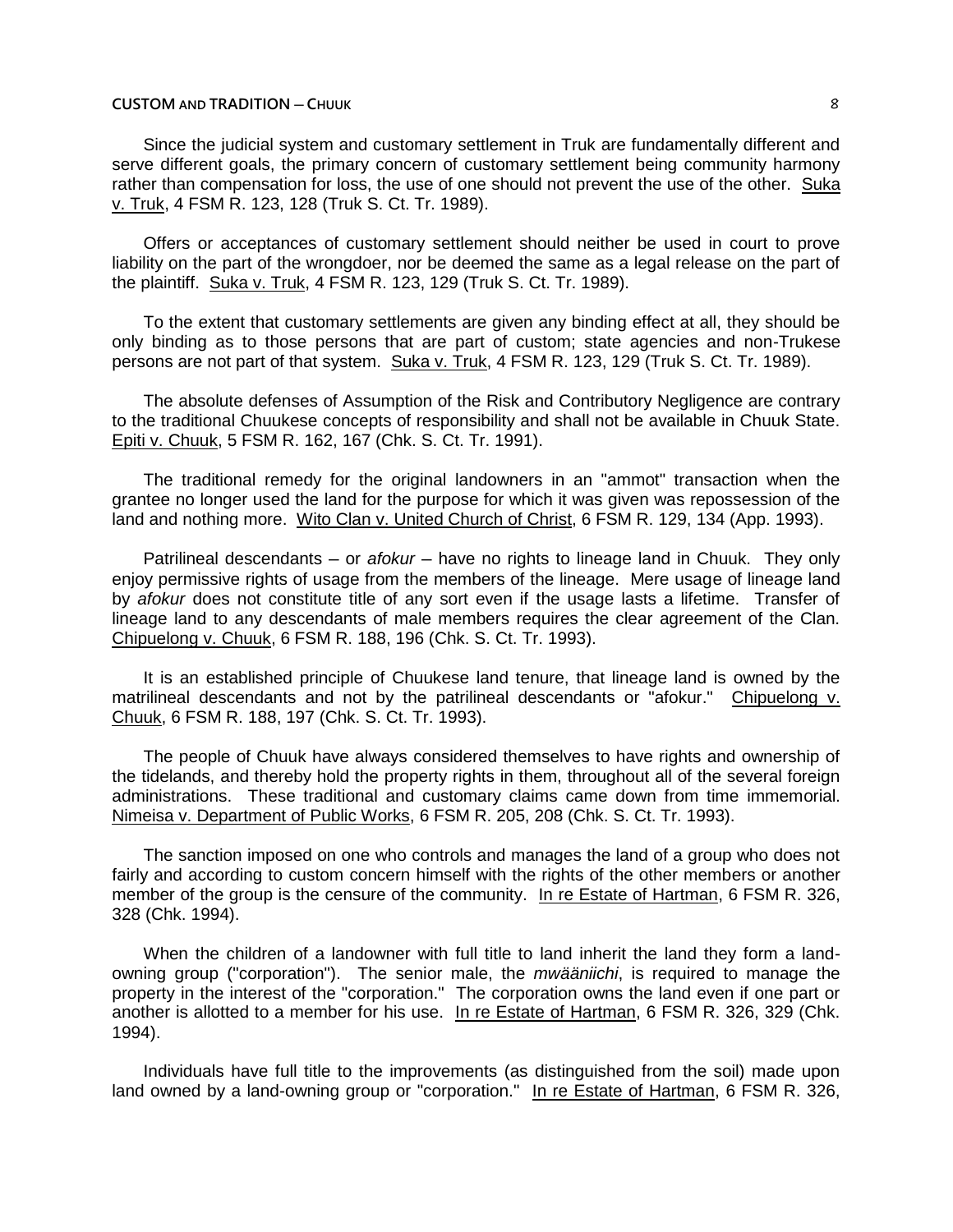Since the judicial system and customary settlement in Truk are fundamentally different and serve different goals, the primary concern of customary settlement being community harmony rather than compensation for loss, the use of one should not prevent the use of the other. Suka v. Truk, 4 FSM R. 123, 128 (Truk S. Ct. Tr. 1989).

Offers or acceptances of customary settlement should neither be used in court to prove liability on the part of the wrongdoer, nor be deemed the same as a legal release on the part of the plaintiff. Suka v. Truk, 4 FSM R. 123, 129 (Truk S. Ct. Tr. 1989).

To the extent that customary settlements are given any binding effect at all, they should be only binding as to those persons that are part of custom; state agencies and non-Trukese persons are not part of that system. Suka v. Truk, 4 FSM R. 123, 129 (Truk S. Ct. Tr. 1989).

The absolute defenses of Assumption of the Risk and Contributory Negligence are contrary to the traditional Chuukese concepts of responsibility and shall not be available in Chuuk State. Epiti v. Chuuk, 5 FSM R. 162, 167 (Chk. S. Ct. Tr. 1991).

The traditional remedy for the original landowners in an "ammot" transaction when the grantee no longer used the land for the purpose for which it was given was repossession of the land and nothing more. Wito Clan v. United Church of Christ, 6 FSM R. 129, 134 (App. 1993).

Patrilineal descendants — or *afokur* — have no rights to lineage land in Chuuk. They only enjoy permissive rights of usage from the members of the lineage. Mere usage of lineage land by *afokur* does not constitute title of any sort even if the usage lasts a lifetime. Transfer of lineage land to any descendants of male members requires the clear agreement of the Clan. Chipuelong v. Chuuk, 6 FSM R. 188, 196 (Chk. S. Ct. Tr. 1993).

It is an established principle of Chuukese land tenure, that lineage land is owned by the matrilineal descendants and not by the patrilineal descendants or "afokur." Chipuelong v. Chuuk, 6 FSM R. 188, 197 (Chk. S. Ct. Tr. 1993).

The people of Chuuk have always considered themselves to have rights and ownership of the tidelands, and thereby hold the property rights in them, throughout all of the several foreign administrations. These traditional and customary claims came down from time immemorial. Nimeisa v. Department of Public Works, 6 FSM R. 205, 208 (Chk. S. Ct. Tr. 1993).

The sanction imposed on one who controls and manages the land of a group who does not fairly and according to custom concern himself with the rights of the other members or another member of the group is the censure of the community. In re Estate of Hartman, 6 FSM R. 326, 328 (Chk. 1994).

When the children of a landowner with full title to land inherit the land they form a landowning group ("corporation"). The senior male, the *mwääniichi*, is required to manage the property in the interest of the "corporation." The corporation owns the land even if one part or another is allotted to a member for his use. In re Estate of Hartman, 6 FSM R. 326, 329 (Chk. 1994).

Individuals have full title to the improvements (as distinguished from the soil) made upon land owned by a land-owning group or "corporation." In re Estate of Hartman, 6 FSM R. 326,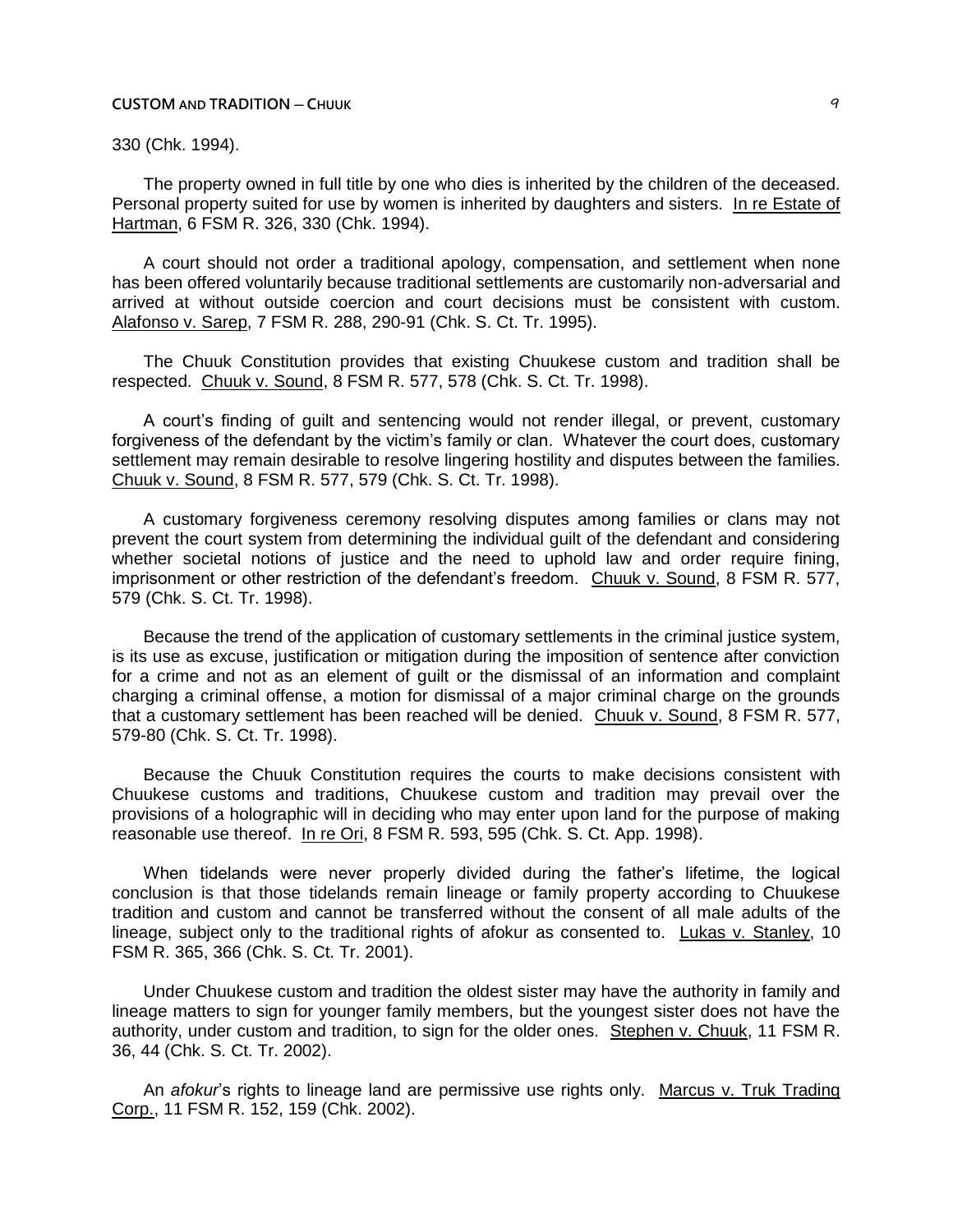## 330 (Chk. 1994).

The property owned in full title by one who dies is inherited by the children of the deceased. Personal property suited for use by women is inherited by daughters and sisters. In re Estate of Hartman, 6 FSM R. 326, 330 (Chk. 1994).

A court should not order a traditional apology, compensation, and settlement when none has been offered voluntarily because traditional settlements are customarily non-adversarial and arrived at without outside coercion and court decisions must be consistent with custom. Alafonso v. Sarep, 7 FSM R. 288, 290-91 (Chk. S. Ct. Tr. 1995).

The Chuuk Constitution provides that existing Chuukese custom and tradition shall be respected. Chuuk v. Sound, 8 FSM R. 577, 578 (Chk. S. Ct. Tr. 1998).

A court's finding of guilt and sentencing would not render illegal, or prevent, customary forgiveness of the defendant by the victim's family or clan. Whatever the court does, customary settlement may remain desirable to resolve lingering hostility and disputes between the families. Chuuk v. Sound, 8 FSM R. 577, 579 (Chk. S. Ct. Tr. 1998).

A customary forgiveness ceremony resolving disputes among families or clans may not prevent the court system from determining the individual guilt of the defendant and considering whether societal notions of justice and the need to uphold law and order require fining, imprisonment or other restriction of the defendant's freedom. Chuuk v. Sound, 8 FSM R. 577, 579 (Chk. S. Ct. Tr. 1998).

Because the trend of the application of customary settlements in the criminal justice system, is its use as excuse, justification or mitigation during the imposition of sentence after conviction for a crime and not as an element of guilt or the dismissal of an information and complaint charging a criminal offense, a motion for dismissal of a major criminal charge on the grounds that a customary settlement has been reached will be denied. Chuuk v. Sound, 8 FSM R. 577, 579-80 (Chk. S. Ct. Tr. 1998).

Because the Chuuk Constitution requires the courts to make decisions consistent with Chuukese customs and traditions, Chuukese custom and tradition may prevail over the provisions of a holographic will in deciding who may enter upon land for the purpose of making reasonable use thereof. In re Ori, 8 FSM R. 593, 595 (Chk. S. Ct. App. 1998).

When tidelands were never properly divided during the father's lifetime, the logical conclusion is that those tidelands remain lineage or family property according to Chuukese tradition and custom and cannot be transferred without the consent of all male adults of the lineage, subject only to the traditional rights of afokur as consented to. Lukas v. Stanley, 10 FSM R. 365, 366 (Chk. S. Ct. Tr. 2001).

Under Chuukese custom and tradition the oldest sister may have the authority in family and lineage matters to sign for younger family members, but the youngest sister does not have the authority, under custom and tradition, to sign for the older ones. Stephen v. Chuuk, 11 FSM R. 36, 44 (Chk. S. Ct. Tr. 2002).

An *afokur*'s rights to lineage land are permissive use rights only. Marcus v. Truk Trading Corp., 11 FSM R. 152, 159 (Chk. 2002).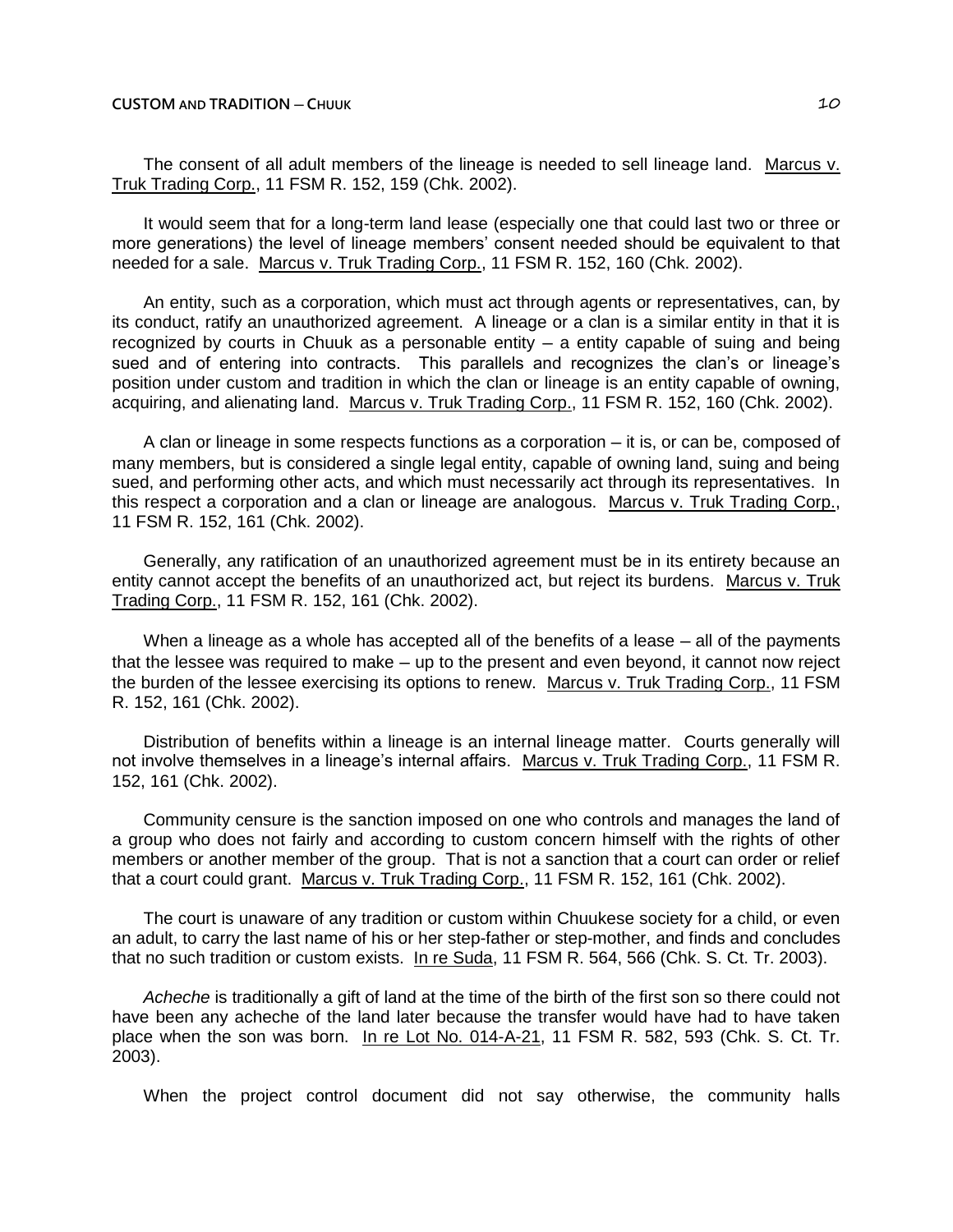The consent of all adult members of the lineage is needed to sell lineage land. Marcus v. Truk Trading Corp., 11 FSM R. 152, 159 (Chk. 2002).

It would seem that for a long-term land lease (especially one that could last two or three or more generations) the level of lineage members' consent needed should be equivalent to that needed for a sale. Marcus v. Truk Trading Corp., 11 FSM R. 152, 160 (Chk. 2002).

An entity, such as a corporation, which must act through agents or representatives, can, by its conduct, ratify an unauthorized agreement. A lineage or a clan is a similar entity in that it is recognized by courts in Chuuk as a personable entity  $-$  a entity capable of suing and being sued and of entering into contracts. This parallels and recognizes the clan's or lineage's position under custom and tradition in which the clan or lineage is an entity capable of owning, acquiring, and alienating land. Marcus v. Truk Trading Corp., 11 FSM R. 152, 160 (Chk. 2002).

A clan or lineage in some respects functions as a corporation — it is, or can be, composed of many members, but is considered a single legal entity, capable of owning land, suing and being sued, and performing other acts, and which must necessarily act through its representatives. In this respect a corporation and a clan or lineage are analogous. Marcus v. Truk Trading Corp., 11 FSM R. 152, 161 (Chk. 2002).

Generally, any ratification of an unauthorized agreement must be in its entirety because an entity cannot accept the benefits of an unauthorized act, but reject its burdens. Marcus v. Truk Trading Corp., 11 FSM R. 152, 161 (Chk. 2002).

When a lineage as a whole has accepted all of the benefits of a lease  $-$  all of the payments that the lessee was required to make – up to the present and even beyond, it cannot now reject the burden of the lessee exercising its options to renew. Marcus v. Truk Trading Corp., 11 FSM R. 152, 161 (Chk. 2002).

Distribution of benefits within a lineage is an internal lineage matter. Courts generally will not involve themselves in a lineage's internal affairs. Marcus v. Truk Trading Corp., 11 FSM R. 152, 161 (Chk. 2002).

Community censure is the sanction imposed on one who controls and manages the land of a group who does not fairly and according to custom concern himself with the rights of other members or another member of the group. That is not a sanction that a court can order or relief that a court could grant. Marcus v. Truk Trading Corp., 11 FSM R. 152, 161 (Chk. 2002).

The court is unaware of any tradition or custom within Chuukese society for a child, or even an adult, to carry the last name of his or her step-father or step-mother, and finds and concludes that no such tradition or custom exists. In re Suda, 11 FSM R. 564, 566 (Chk. S. Ct. Tr. 2003).

*Acheche* is traditionally a gift of land at the time of the birth of the first son so there could not have been any acheche of the land later because the transfer would have had to have taken place when the son was born. In re Lot No. 014-A-21, 11 FSM R. 582, 593 (Chk. S. Ct. Tr. 2003).

When the project control document did not say otherwise, the community halls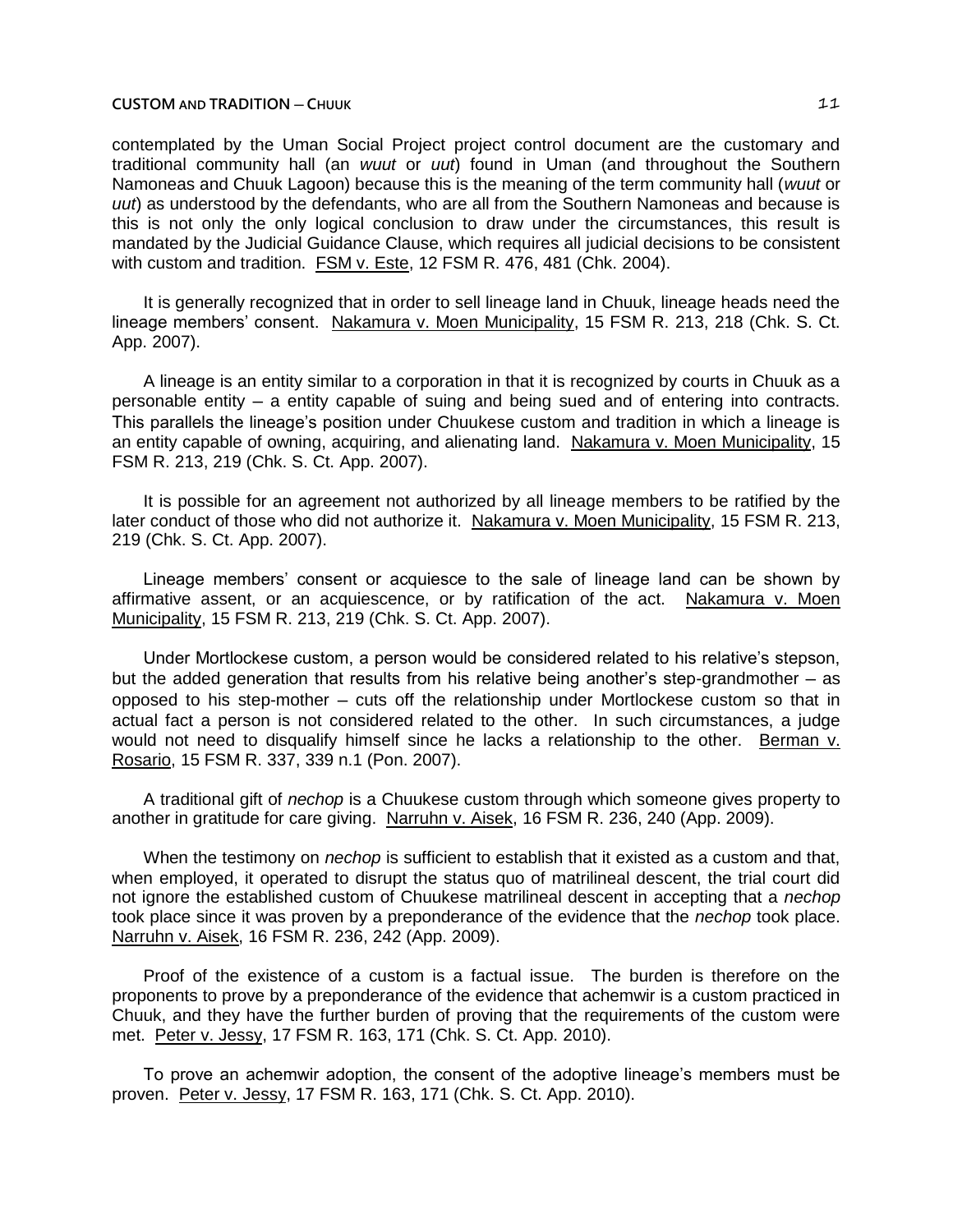contemplated by the Uman Social Project project control document are the customary and traditional community hall (an *wuut* or *uut*) found in Uman (and throughout the Southern Namoneas and Chuuk Lagoon) because this is the meaning of the term community hall (*wuut* or *uut*) as understood by the defendants, who are all from the Southern Namoneas and because is this is not only the only logical conclusion to draw under the circumstances, this result is mandated by the Judicial Guidance Clause, which requires all judicial decisions to be consistent with custom and tradition. FSM v. Este, 12 FSM R. 476, 481 (Chk. 2004).

It is generally recognized that in order to sell lineage land in Chuuk, lineage heads need the lineage members' consent. Nakamura v. Moen Municipality, 15 FSM R. 213, 218 (Chk. S. Ct. App. 2007).

A lineage is an entity similar to a corporation in that it is recognized by courts in Chuuk as a personable entity — a entity capable of suing and being sued and of entering into contracts. This parallels the lineage's position under Chuukese custom and tradition in which a lineage is an entity capable of owning, acquiring, and alienating land. Nakamura v. Moen Municipality, 15 FSM R. 213, 219 (Chk. S. Ct. App. 2007).

It is possible for an agreement not authorized by all lineage members to be ratified by the later conduct of those who did not authorize it. Nakamura v. Moen Municipality, 15 FSM R. 213, 219 (Chk. S. Ct. App. 2007).

Lineage members' consent or acquiesce to the sale of lineage land can be shown by affirmative assent, or an acquiescence, or by ratification of the act. Nakamura v. Moen Municipality, 15 FSM R. 213, 219 (Chk. S. Ct. App. 2007).

Under Mortlockese custom, a person would be considered related to his relative's stepson, but the added generation that results from his relative being another's step-grandmother  $-$  as opposed to his step-mother  $-$  cuts off the relationship under Mortlockese custom so that in actual fact a person is not considered related to the other. In such circumstances, a judge would not need to disqualify himself since he lacks a relationship to the other. Berman v. Rosario, 15 FSM R. 337, 339 n.1 (Pon. 2007).

A traditional gift of *nechop* is a Chuukese custom through which someone gives property to another in gratitude for care giving. Narruhn v. Aisek, 16 FSM R. 236, 240 (App. 2009).

When the testimony on *nechop* is sufficient to establish that it existed as a custom and that, when employed, it operated to disrupt the status quo of matrilineal descent, the trial court did not ignore the established custom of Chuukese matrilineal descent in accepting that a *nechop* took place since it was proven by a preponderance of the evidence that the *nechop* took place. Narruhn v. Aisek, 16 FSM R. 236, 242 (App. 2009).

Proof of the existence of a custom is a factual issue. The burden is therefore on the proponents to prove by a preponderance of the evidence that achemwir is a custom practiced in Chuuk, and they have the further burden of proving that the requirements of the custom were met. Peter v. Jessy, 17 FSM R. 163, 171 (Chk. S. Ct. App. 2010).

To prove an achemwir adoption, the consent of the adoptive lineage's members must be proven. Peter v. Jessy, 17 FSM R. 163, 171 (Chk. S. Ct. App. 2010).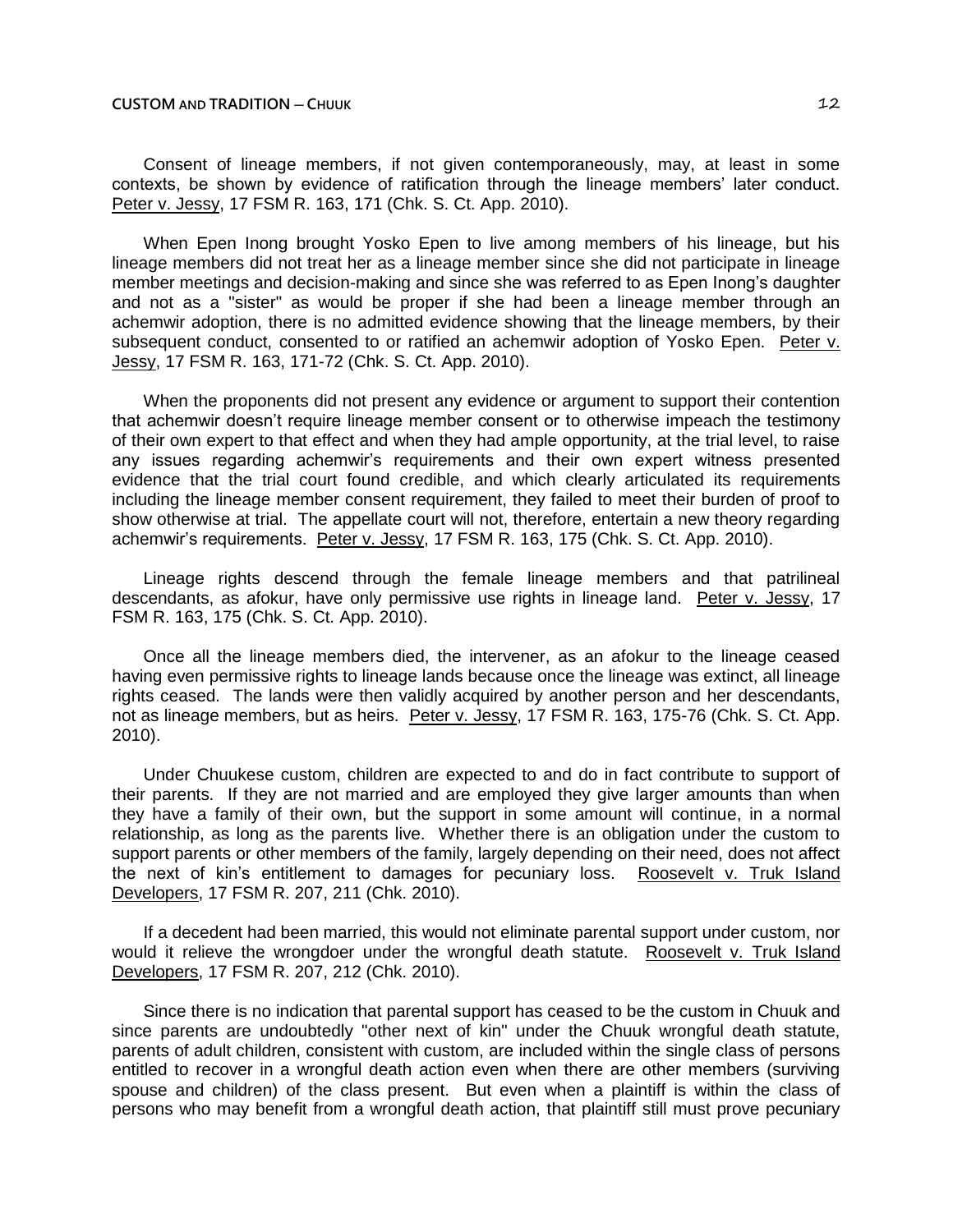Consent of lineage members, if not given contemporaneously, may, at least in some contexts, be shown by evidence of ratification through the lineage members' later conduct. Peter v. Jessy, 17 FSM R. 163, 171 (Chk. S. Ct. App. 2010).

When Epen Inong brought Yosko Epen to live among members of his lineage, but his lineage members did not treat her as a lineage member since she did not participate in lineage member meetings and decision-making and since she was referred to as Epen Inong's daughter and not as a "sister" as would be proper if she had been a lineage member through an achemwir adoption, there is no admitted evidence showing that the lineage members, by their subsequent conduct, consented to or ratified an achemwir adoption of Yosko Epen. Peter v. Jessy, 17 FSM R. 163, 171-72 (Chk. S. Ct. App. 2010).

When the proponents did not present any evidence or argument to support their contention that achemwir doesn't require lineage member consent or to otherwise impeach the testimony of their own expert to that effect and when they had ample opportunity, at the trial level, to raise any issues regarding achemwir's requirements and their own expert witness presented evidence that the trial court found credible, and which clearly articulated its requirements including the lineage member consent requirement, they failed to meet their burden of proof to show otherwise at trial. The appellate court will not, therefore, entertain a new theory regarding achemwir's requirements. Peter v. Jessy, 17 FSM R. 163, 175 (Chk. S. Ct. App. 2010).

Lineage rights descend through the female lineage members and that patrilineal descendants, as afokur, have only permissive use rights in lineage land. Peter v. Jessy, 17 FSM R. 163, 175 (Chk. S. Ct. App. 2010).

Once all the lineage members died, the intervener, as an afokur to the lineage ceased having even permissive rights to lineage lands because once the lineage was extinct, all lineage rights ceased. The lands were then validly acquired by another person and her descendants, not as lineage members, but as heirs. Peter v. Jessy, 17 FSM R. 163, 175-76 (Chk. S. Ct. App. 2010).

Under Chuukese custom, children are expected to and do in fact contribute to support of their parents. If they are not married and are employed they give larger amounts than when they have a family of their own, but the support in some amount will continue, in a normal relationship, as long as the parents live. Whether there is an obligation under the custom to support parents or other members of the family, largely depending on their need, does not affect the next of kin's entitlement to damages for pecuniary loss. Roosevelt v. Truk Island Developers, 17 FSM R. 207, 211 (Chk. 2010).

If a decedent had been married, this would not eliminate parental support under custom, nor would it relieve the wrongdoer under the wrongful death statute. Roosevelt v. Truk Island Developers, 17 FSM R. 207, 212 (Chk. 2010).

Since there is no indication that parental support has ceased to be the custom in Chuuk and since parents are undoubtedly "other next of kin" under the Chuuk wrongful death statute, parents of adult children, consistent with custom, are included within the single class of persons entitled to recover in a wrongful death action even when there are other members (surviving spouse and children) of the class present. But even when a plaintiff is within the class of persons who may benefit from a wrongful death action, that plaintiff still must prove pecuniary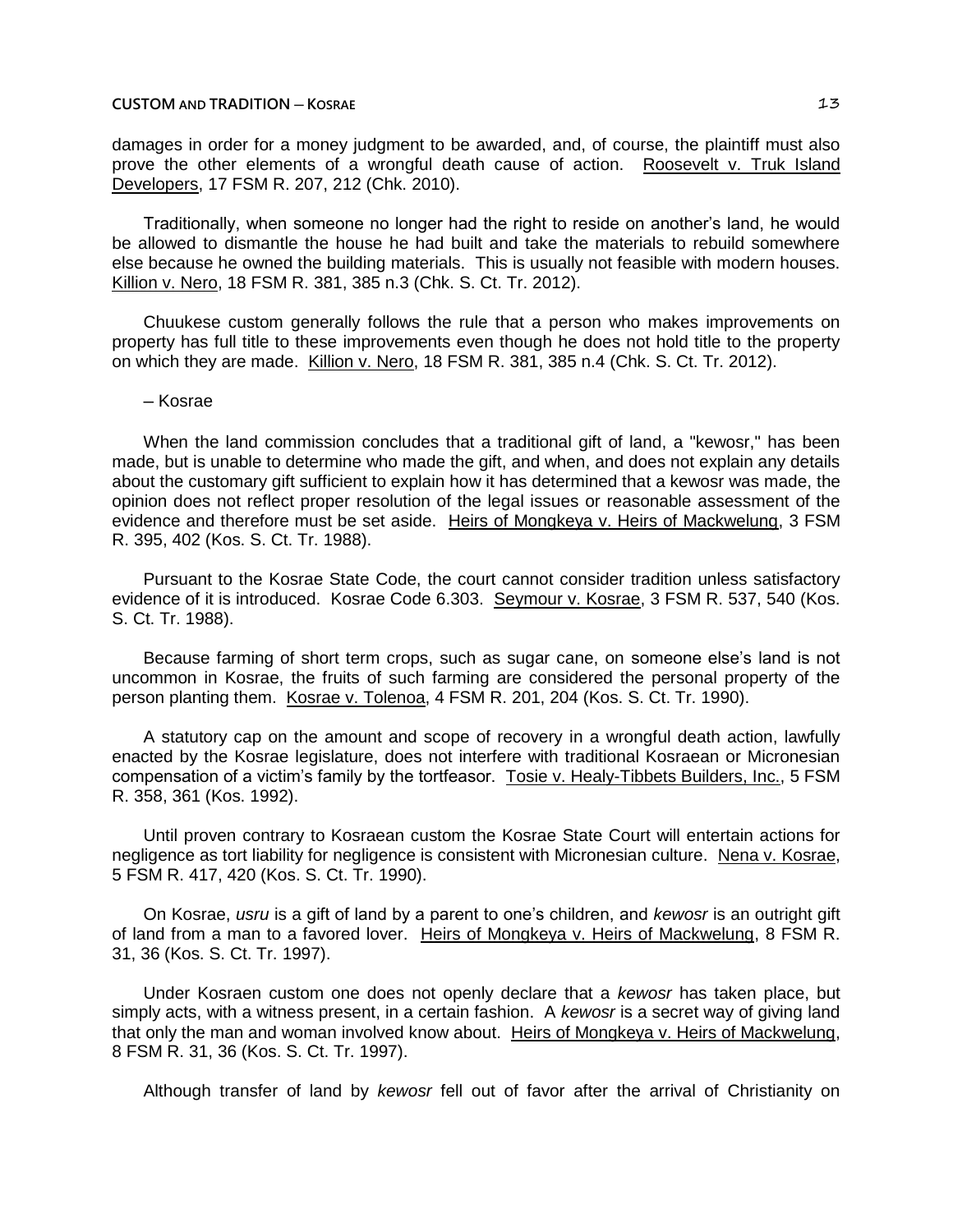### **CUSTOM AND TRADITION ─ KOSRAE** 13

damages in order for a money judgment to be awarded, and, of course, the plaintiff must also prove the other elements of a wrongful death cause of action. Roosevelt v. Truk Island Developers, 17 FSM R. 207, 212 (Chk. 2010).

Traditionally, when someone no longer had the right to reside on another's land, he would be allowed to dismantle the house he had built and take the materials to rebuild somewhere else because he owned the building materials. This is usually not feasible with modern houses. Killion v. Nero, 18 FSM R. 381, 385 n.3 (Chk. S. Ct. Tr. 2012).

Chuukese custom generally follows the rule that a person who makes improvements on property has full title to these improvements even though he does not hold title to the property on which they are made. Killion v. Nero, 18 FSM R. 381, 385 n.4 (Chk. S. Ct. Tr. 2012).

# ─ Kosrae

When the land commission concludes that a traditional gift of land, a "kewosr," has been made, but is unable to determine who made the gift, and when, and does not explain any details about the customary gift sufficient to explain how it has determined that a kewosr was made, the opinion does not reflect proper resolution of the legal issues or reasonable assessment of the evidence and therefore must be set aside. Heirs of Mongkeya v. Heirs of Mackwelung, 3 FSM R. 395, 402 (Kos. S. Ct. Tr. 1988).

Pursuant to the Kosrae State Code, the court cannot consider tradition unless satisfactory evidence of it is introduced. Kosrae Code 6.303. Seymour v. Kosrae, 3 FSM R. 537, 540 (Kos. S. Ct. Tr. 1988).

Because farming of short term crops, such as sugar cane, on someone else's land is not uncommon in Kosrae, the fruits of such farming are considered the personal property of the person planting them. Kosrae v. Tolenoa, 4 FSM R. 201, 204 (Kos. S. Ct. Tr. 1990).

A statutory cap on the amount and scope of recovery in a wrongful death action, lawfully enacted by the Kosrae legislature, does not interfere with traditional Kosraean or Micronesian compensation of a victim's family by the tortfeasor. Tosie v. Healy-Tibbets Builders, Inc., 5 FSM R. 358, 361 (Kos. 1992).

Until proven contrary to Kosraean custom the Kosrae State Court will entertain actions for negligence as tort liability for negligence is consistent with Micronesian culture. Nena v. Kosrae, 5 FSM R. 417, 420 (Kos. S. Ct. Tr. 1990).

On Kosrae, *usru* is a gift of land by a parent to one's children, and *kewosr* is an outright gift of land from a man to a favored lover. Heirs of Mongkeya v. Heirs of Mackwelung, 8 FSM R. 31, 36 (Kos. S. Ct. Tr. 1997).

Under Kosraen custom one does not openly declare that a *kewosr* has taken place, but simply acts, with a witness present, in a certain fashion. A *kewosr* is a secret way of giving land that only the man and woman involved know about. Heirs of Mongkeya v. Heirs of Mackwelung, 8 FSM R. 31, 36 (Kos. S. Ct. Tr. 1997).

Although transfer of land by *kewosr* fell out of favor after the arrival of Christianity on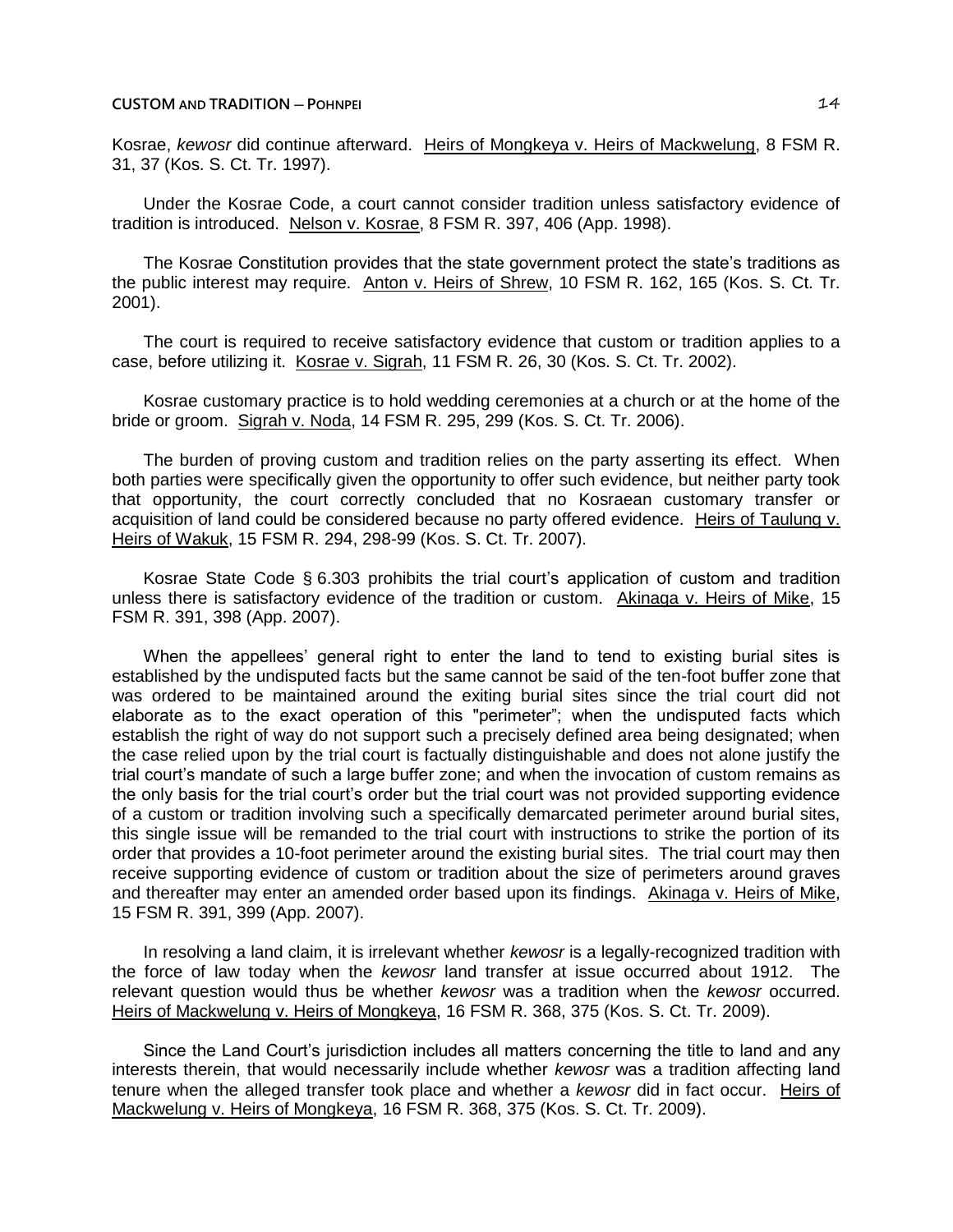## **CUSTOM AND TRADITION ─ POHNPEI** 14

Kosrae, *kewosr* did continue afterward. Heirs of Mongkeya v. Heirs of Mackwelung, 8 FSM R. 31, 37 (Kos. S. Ct. Tr. 1997).

Under the Kosrae Code, a court cannot consider tradition unless satisfactory evidence of tradition is introduced. Nelson v. Kosrae, 8 FSM R. 397, 406 (App. 1998).

The Kosrae Constitution provides that the state government protect the state's traditions as the public interest may require. Anton v. Heirs of Shrew, 10 FSM R. 162, 165 (Kos. S. Ct. Tr. 2001).

The court is required to receive satisfactory evidence that custom or tradition applies to a case, before utilizing it. Kosrae v. Sigrah, 11 FSM R. 26, 30 (Kos. S. Ct. Tr. 2002).

Kosrae customary practice is to hold wedding ceremonies at a church or at the home of the bride or groom. Sigrah v. Noda, 14 FSM R. 295, 299 (Kos. S. Ct. Tr. 2006).

The burden of proving custom and tradition relies on the party asserting its effect. When both parties were specifically given the opportunity to offer such evidence, but neither party took that opportunity, the court correctly concluded that no Kosraean customary transfer or acquisition of land could be considered because no party offered evidence. Heirs of Taulung v. Heirs of Wakuk, 15 FSM R. 294, 298-99 (Kos. S. Ct. Tr. 2007).

Kosrae State Code § 6.303 prohibits the trial court's application of custom and tradition unless there is satisfactory evidence of the tradition or custom. Akinaga v. Heirs of Mike, 15 FSM R. 391, 398 (App. 2007).

When the appellees' general right to enter the land to tend to existing burial sites is established by the undisputed facts but the same cannot be said of the ten-foot buffer zone that was ordered to be maintained around the exiting burial sites since the trial court did not elaborate as to the exact operation of this "perimeter"; when the undisputed facts which establish the right of way do not support such a precisely defined area being designated; when the case relied upon by the trial court is factually distinguishable and does not alone justify the trial court's mandate of such a large buffer zone; and when the invocation of custom remains as the only basis for the trial court's order but the trial court was not provided supporting evidence of a custom or tradition involving such a specifically demarcated perimeter around burial sites, this single issue will be remanded to the trial court with instructions to strike the portion of its order that provides a 10-foot perimeter around the existing burial sites. The trial court may then receive supporting evidence of custom or tradition about the size of perimeters around graves and thereafter may enter an amended order based upon its findings. Akinaga v. Heirs of Mike, 15 FSM R. 391, 399 (App. 2007).

In resolving a land claim, it is irrelevant whether *kewosr* is a legally-recognized tradition with the force of law today when the *kewosr* land transfer at issue occurred about 1912. The relevant question would thus be whether *kewosr* was a tradition when the *kewosr* occurred. Heirs of Mackwelung v. Heirs of Mongkeya, 16 FSM R. 368, 375 (Kos. S. Ct. Tr. 2009).

Since the Land Court's jurisdiction includes all matters concerning the title to land and any interests therein, that would necessarily include whether *kewosr* was a tradition affecting land tenure when the alleged transfer took place and whether a *kewosr* did in fact occur. Heirs of Mackwelung v. Heirs of Mongkeya, 16 FSM R. 368, 375 (Kos. S. Ct. Tr. 2009).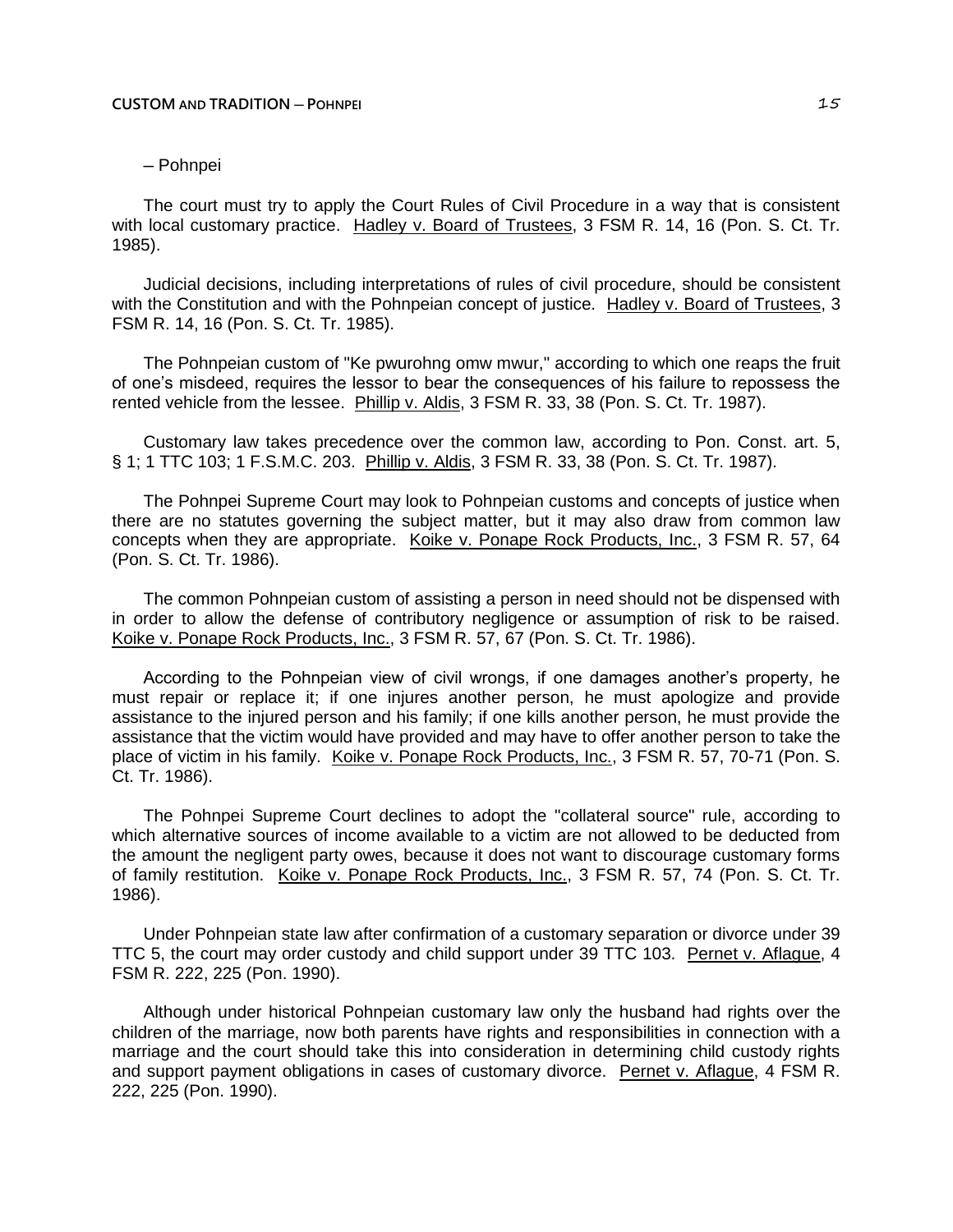# ─ Pohnpei

The court must try to apply the Court Rules of Civil Procedure in a way that is consistent with local customary practice. Hadley v. Board of Trustees, 3 FSM R. 14, 16 (Pon. S. Ct. Tr. 1985).

Judicial decisions, including interpretations of rules of civil procedure, should be consistent with the Constitution and with the Pohnpeian concept of justice. Hadley v. Board of Trustees, 3 FSM R. 14, 16 (Pon. S. Ct. Tr. 1985).

The Pohnpeian custom of "Ke pwurohng omw mwur," according to which one reaps the fruit of one's misdeed, requires the lessor to bear the consequences of his failure to repossess the rented vehicle from the lessee. Phillip v. Aldis, 3 FSM R. 33, 38 (Pon. S. Ct. Tr. 1987).

Customary law takes precedence over the common law, according to Pon. Const. art. 5, § 1; 1 TTC 103; 1 F.S.M.C. 203. Phillip v. Aldis, 3 FSM R. 33, 38 (Pon. S. Ct. Tr. 1987).

The Pohnpei Supreme Court may look to Pohnpeian customs and concepts of justice when there are no statutes governing the subject matter, but it may also draw from common law concepts when they are appropriate. Koike v. Ponape Rock Products, Inc., 3 FSM R. 57, 64 (Pon. S. Ct. Tr. 1986).

The common Pohnpeian custom of assisting a person in need should not be dispensed with in order to allow the defense of contributory negligence or assumption of risk to be raised. Koike v. Ponape Rock Products, Inc., 3 FSM R. 57, 67 (Pon. S. Ct. Tr. 1986).

According to the Pohnpeian view of civil wrongs, if one damages another's property, he must repair or replace it; if one injures another person, he must apologize and provide assistance to the injured person and his family; if one kills another person, he must provide the assistance that the victim would have provided and may have to offer another person to take the place of victim in his family. Koike v. Ponape Rock Products, Inc., 3 FSM R. 57, 70-71 (Pon. S. Ct. Tr. 1986).

The Pohnpei Supreme Court declines to adopt the "collateral source" rule, according to which alternative sources of income available to a victim are not allowed to be deducted from the amount the negligent party owes, because it does not want to discourage customary forms of family restitution. Koike v. Ponape Rock Products, Inc., 3 FSM R. 57, 74 (Pon. S. Ct. Tr. 1986).

Under Pohnpeian state law after confirmation of a customary separation or divorce under 39 TTC 5, the court may order custody and child support under 39 TTC 103. Pernet v. Aflague, 4 FSM R. 222, 225 (Pon. 1990).

Although under historical Pohnpeian customary law only the husband had rights over the children of the marriage, now both parents have rights and responsibilities in connection with a marriage and the court should take this into consideration in determining child custody rights and support payment obligations in cases of customary divorce. Pernet v. Aflague, 4 FSM R. 222, 225 (Pon. 1990).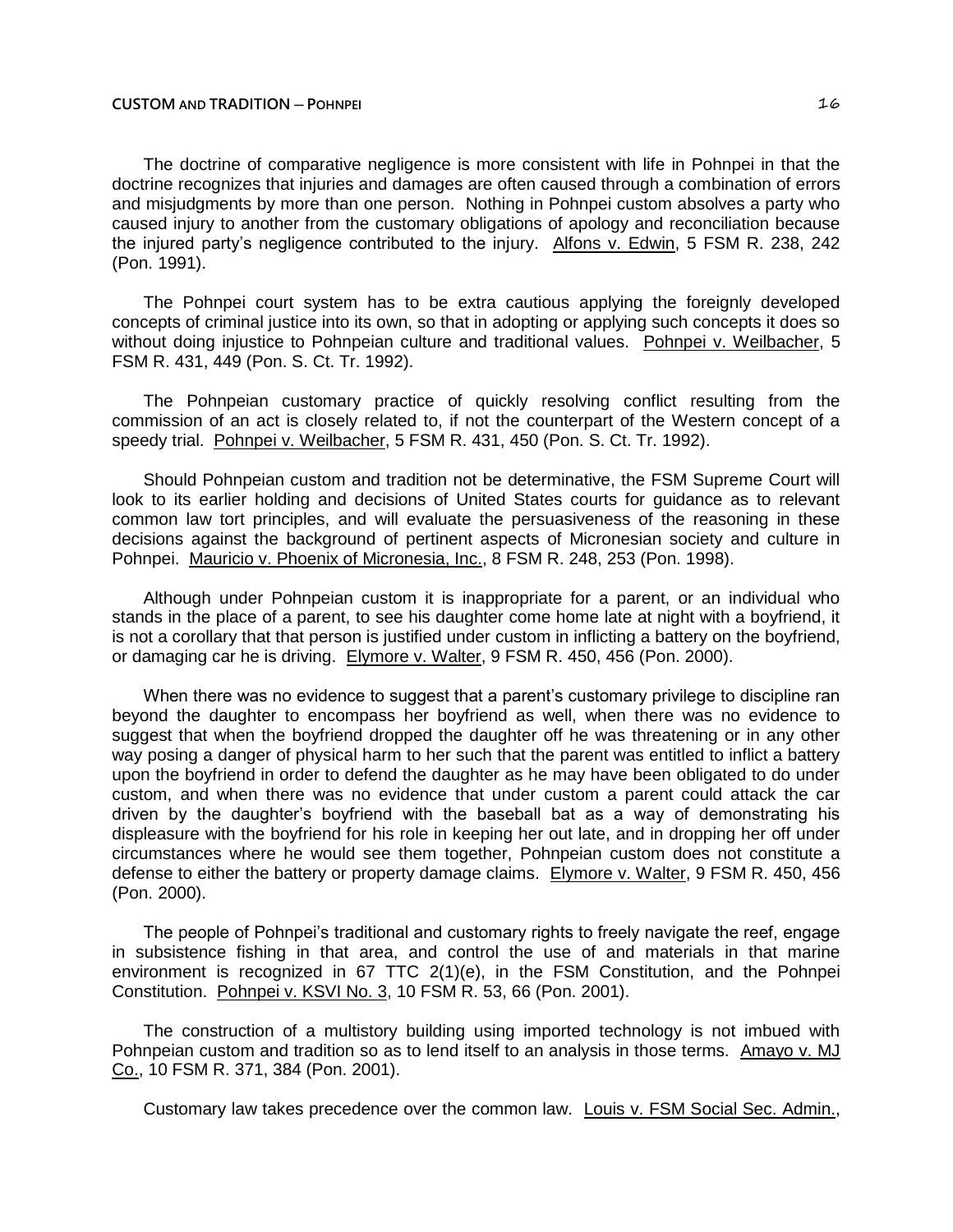The doctrine of comparative negligence is more consistent with life in Pohnpei in that the doctrine recognizes that injuries and damages are often caused through a combination of errors and misjudgments by more than one person. Nothing in Pohnpei custom absolves a party who caused injury to another from the customary obligations of apology and reconciliation because the injured party's negligence contributed to the injury. Alfons v. Edwin, 5 FSM R. 238, 242 (Pon. 1991).

The Pohnpei court system has to be extra cautious applying the foreignly developed concepts of criminal justice into its own, so that in adopting or applying such concepts it does so without doing injustice to Pohnpeian culture and traditional values. Pohnpei v. Weilbacher, 5 FSM R. 431, 449 (Pon. S. Ct. Tr. 1992).

The Pohnpeian customary practice of quickly resolving conflict resulting from the commission of an act is closely related to, if not the counterpart of the Western concept of a speedy trial. Pohnpei v. Weilbacher, 5 FSM R. 431, 450 (Pon. S. Ct. Tr. 1992).

Should Pohnpeian custom and tradition not be determinative, the FSM Supreme Court will look to its earlier holding and decisions of United States courts for guidance as to relevant common law tort principles, and will evaluate the persuasiveness of the reasoning in these decisions against the background of pertinent aspects of Micronesian society and culture in Pohnpei. Mauricio v. Phoenix of Micronesia, Inc., 8 FSM R. 248, 253 (Pon. 1998).

Although under Pohnpeian custom it is inappropriate for a parent, or an individual who stands in the place of a parent, to see his daughter come home late at night with a boyfriend, it is not a corollary that that person is justified under custom in inflicting a battery on the boyfriend, or damaging car he is driving. Elymore v. Walter, 9 FSM R. 450, 456 (Pon. 2000).

When there was no evidence to suggest that a parent's customary privilege to discipline ran beyond the daughter to encompass her boyfriend as well, when there was no evidence to suggest that when the boyfriend dropped the daughter off he was threatening or in any other way posing a danger of physical harm to her such that the parent was entitled to inflict a battery upon the boyfriend in order to defend the daughter as he may have been obligated to do under custom, and when there was no evidence that under custom a parent could attack the car driven by the daughter's boyfriend with the baseball bat as a way of demonstrating his displeasure with the boyfriend for his role in keeping her out late, and in dropping her off under circumstances where he would see them together, Pohnpeian custom does not constitute a defense to either the battery or property damage claims. Elymore v. Walter, 9 FSM R. 450, 456 (Pon. 2000).

The people of Pohnpei's traditional and customary rights to freely navigate the reef, engage in subsistence fishing in that area, and control the use of and materials in that marine environment is recognized in  $67$  TTC  $2(1)(e)$ , in the FSM Constitution, and the Pohnpei Constitution. Pohnpei v. KSVI No. 3, 10 FSM R. 53, 66 (Pon. 2001).

The construction of a multistory building using imported technology is not imbued with Pohnpeian custom and tradition so as to lend itself to an analysis in those terms. Amayo v. MJ Co., 10 FSM R. 371, 384 (Pon. 2001).

Customary law takes precedence over the common law. Louis v. FSM Social Sec. Admin.,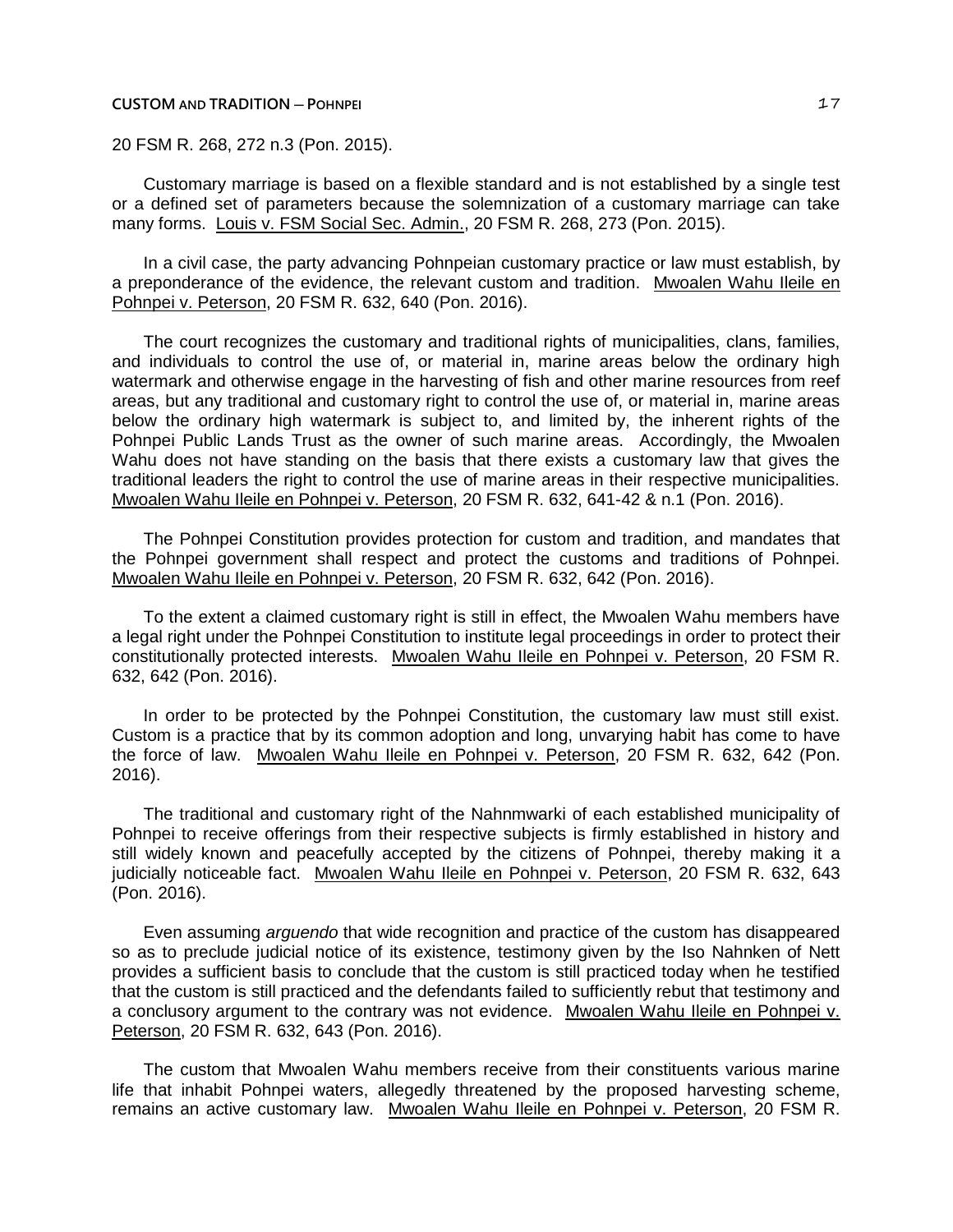### **CUSTOM AND TRADITION ─ POHNPEI** 17

20 FSM R. 268, 272 n.3 (Pon. 2015).

Customary marriage is based on a flexible standard and is not established by a single test or a defined set of parameters because the solemnization of a customary marriage can take many forms. Louis v. FSM Social Sec. Admin., 20 FSM R. 268, 273 (Pon. 2015).

In a civil case, the party advancing Pohnpeian customary practice or law must establish, by a preponderance of the evidence, the relevant custom and tradition. Mwoalen Wahu Ileile en Pohnpei v. Peterson, 20 FSM R. 632, 640 (Pon. 2016).

The court recognizes the customary and traditional rights of municipalities, clans, families, and individuals to control the use of, or material in, marine areas below the ordinary high watermark and otherwise engage in the harvesting of fish and other marine resources from reef areas, but any traditional and customary right to control the use of, or material in, marine areas below the ordinary high watermark is subject to, and limited by, the inherent rights of the Pohnpei Public Lands Trust as the owner of such marine areas. Accordingly, the Mwoalen Wahu does not have standing on the basis that there exists a customary law that gives the traditional leaders the right to control the use of marine areas in their respective municipalities. Mwoalen Wahu Ileile en Pohnpei v. Peterson, 20 FSM R. 632, 641-42 & n.1 (Pon. 2016).

The Pohnpei Constitution provides protection for custom and tradition, and mandates that the Pohnpei government shall respect and protect the customs and traditions of Pohnpei. Mwoalen Wahu Ileile en Pohnpei v. Peterson, 20 FSM R. 632, 642 (Pon. 2016).

To the extent a claimed customary right is still in effect, the Mwoalen Wahu members have a legal right under the Pohnpei Constitution to institute legal proceedings in order to protect their constitutionally protected interests. Mwoalen Wahu Ileile en Pohnpei v. Peterson, 20 FSM R. 632, 642 (Pon. 2016).

In order to be protected by the Pohnpei Constitution, the customary law must still exist. Custom is a practice that by its common adoption and long, unvarying habit has come to have the force of law. Mwoalen Wahu Ileile en Pohnpei v. Peterson, 20 FSM R. 632, 642 (Pon. 2016).

The traditional and customary right of the Nahnmwarki of each established municipality of Pohnpei to receive offerings from their respective subjects is firmly established in history and still widely known and peacefully accepted by the citizens of Pohnpei, thereby making it a judicially noticeable fact. Mwoalen Wahu Ileile en Pohnpei v. Peterson, 20 FSM R. 632, 643 (Pon. 2016).

Even assuming *arguendo* that wide recognition and practice of the custom has disappeared so as to preclude judicial notice of its existence, testimony given by the Iso Nahnken of Nett provides a sufficient basis to conclude that the custom is still practiced today when he testified that the custom is still practiced and the defendants failed to sufficiently rebut that testimony and a conclusory argument to the contrary was not evidence. Mwoalen Wahu Ileile en Pohnpei v. Peterson, 20 FSM R. 632, 643 (Pon. 2016).

The custom that Mwoalen Wahu members receive from their constituents various marine life that inhabit Pohnpei waters, allegedly threatened by the proposed harvesting scheme, remains an active customary law. Mwoalen Wahu Ileile en Pohnpei v. Peterson, 20 FSM R.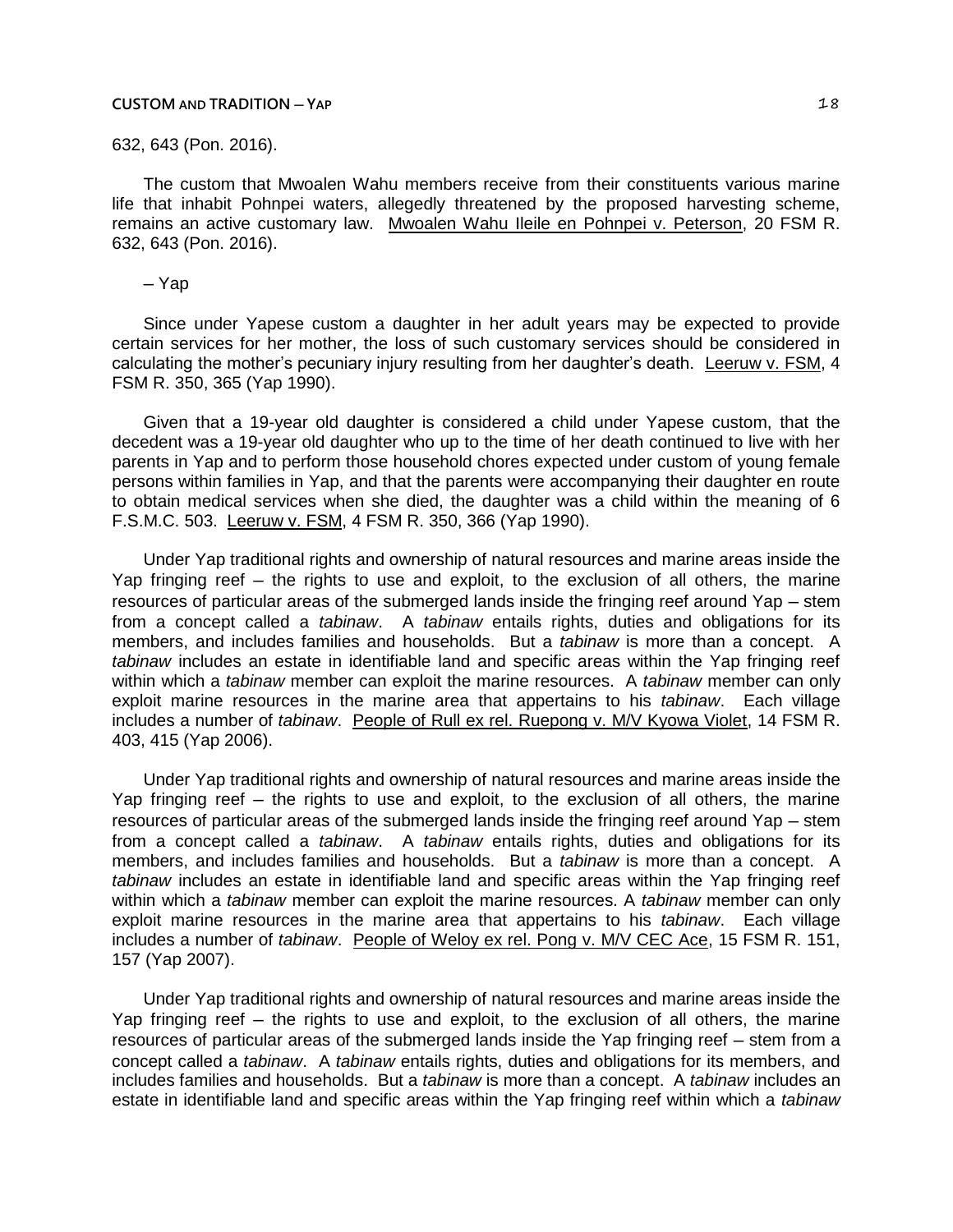#### **CUSTOM AND TRADITION ─ YAP** 18

## 632, 643 (Pon. 2016).

The custom that Mwoalen Wahu members receive from their constituents various marine life that inhabit Pohnpei waters, allegedly threatened by the proposed harvesting scheme, remains an active customary law. Mwoalen Wahu Ileile en Pohnpei v. Peterson, 20 FSM R. 632, 643 (Pon. 2016).

# ─ Yap

Since under Yapese custom a daughter in her adult years may be expected to provide certain services for her mother, the loss of such customary services should be considered in calculating the mother's pecuniary injury resulting from her daughter's death. Leeruw v. FSM, 4 FSM R. 350, 365 (Yap 1990).

Given that a 19-year old daughter is considered a child under Yapese custom, that the decedent was a 19-year old daughter who up to the time of her death continued to live with her parents in Yap and to perform those household chores expected under custom of young female persons within families in Yap, and that the parents were accompanying their daughter en route to obtain medical services when she died, the daughter was a child within the meaning of 6 F.S.M.C. 503. Leeruw v. FSM, 4 FSM R. 350, 366 (Yap 1990).

Under Yap traditional rights and ownership of natural resources and marine areas inside the Yap fringing reef – the rights to use and exploit, to the exclusion of all others, the marine resources of particular areas of the submerged lands inside the fringing reef around Yap – stem from a concept called a *tabinaw*. A *tabinaw* entails rights, duties and obligations for its members, and includes families and households. But a *tabinaw* is more than a concept. A *tabinaw* includes an estate in identifiable land and specific areas within the Yap fringing reef within which a *tabinaw* member can exploit the marine resources. A *tabinaw* member can only exploit marine resources in the marine area that appertains to his *tabinaw*. Each village includes a number of *tabinaw*. People of Rull ex rel. Ruepong v. M/V Kyowa Violet, 14 FSM R. 403, 415 (Yap 2006).

Under Yap traditional rights and ownership of natural resources and marine areas inside the Yap fringing reef – the rights to use and exploit, to the exclusion of all others, the marine resources of particular areas of the submerged lands inside the fringing reef around Yap – stem from a concept called a *tabinaw*. A *tabinaw* entails rights, duties and obligations for its members, and includes families and households. But a *tabinaw* is more than a concept. A *tabinaw* includes an estate in identifiable land and specific areas within the Yap fringing reef within which a *tabinaw* member can exploit the marine resources. A *tabinaw* member can only exploit marine resources in the marine area that appertains to his *tabinaw*. Each village includes a number of *tabinaw*. People of Weloy ex rel. Pong v. M/V CEC Ace, 15 FSM R. 151, 157 (Yap 2007).

Under Yap traditional rights and ownership of natural resources and marine areas inside the Yap fringing reef – the rights to use and exploit, to the exclusion of all others, the marine resources of particular areas of the submerged lands inside the Yap fringing reef – stem from a concept called a *tabinaw*. A *tabinaw* entails rights, duties and obligations for its members, and includes families and households. But a *tabinaw* is more than a concept. A *tabinaw* includes an estate in identifiable land and specific areas within the Yap fringing reef within which a *tabinaw*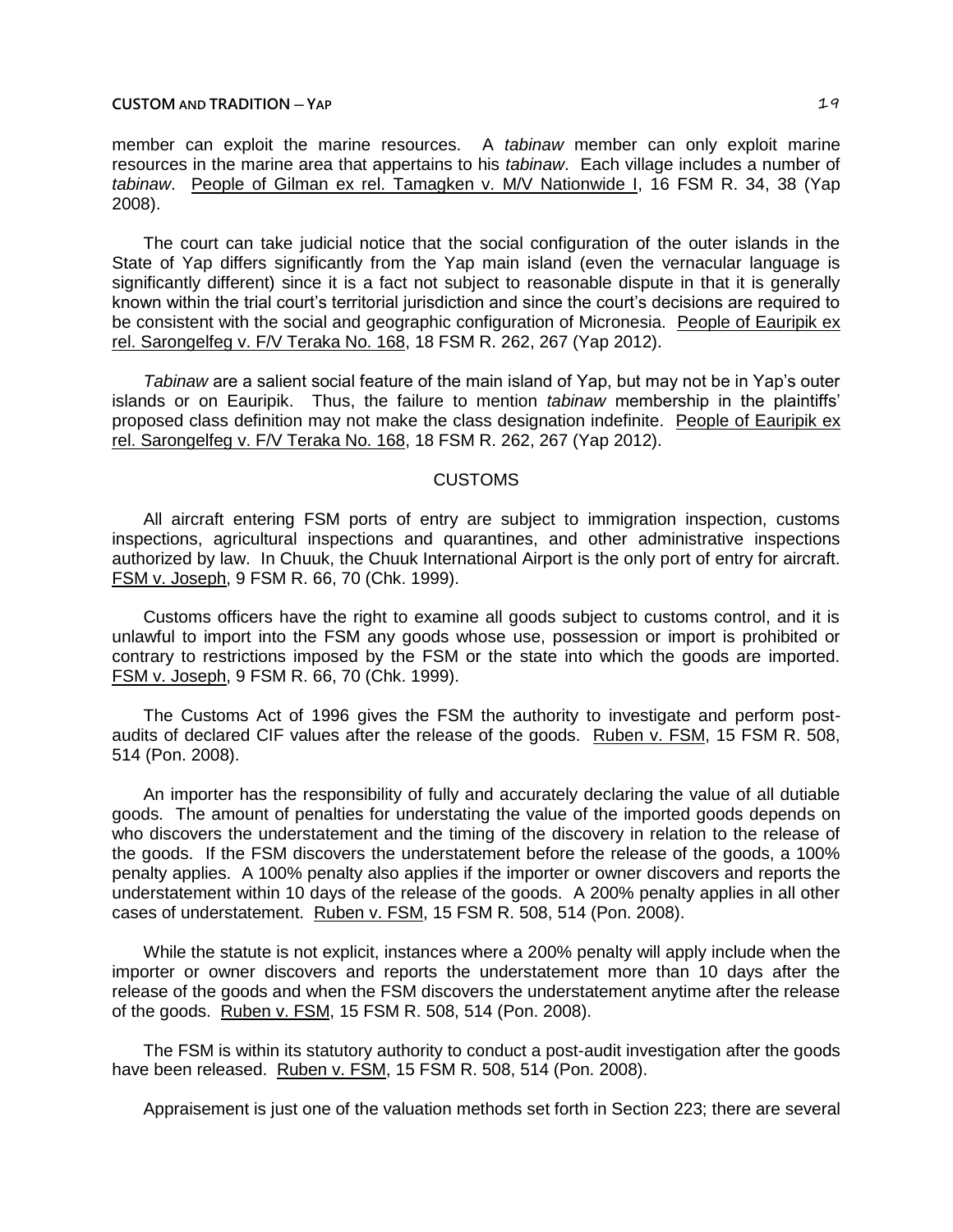## **CUSTOM** AND **TRADITION**  $-\text{YAP}$  **19**

member can exploit the marine resources. A *tabinaw* member can only exploit marine resources in the marine area that appertains to his *tabinaw*. Each village includes a number of *tabinaw*. People of Gilman ex rel. Tamagken v. M/V Nationwide I, 16 FSM R. 34, 38 (Yap 2008).

The court can take judicial notice that the social configuration of the outer islands in the State of Yap differs significantly from the Yap main island (even the vernacular language is significantly different) since it is a fact not subject to reasonable dispute in that it is generally known within the trial court's territorial jurisdiction and since the court's decisions are required to be consistent with the social and geographic configuration of Micronesia. People of Eauripik ex rel. Sarongelfeg v. F/V Teraka No. 168, 18 FSM R. 262, 267 (Yap 2012).

*Tabinaw* are a salient social feature of the main island of Yap, but may not be in Yap's outer islands or on Eauripik. Thus, the failure to mention *tabinaw* membership in the plaintiffs' proposed class definition may not make the class designation indefinite. People of Eauripik ex rel. Sarongelfeg v. F/V Teraka No. 168, 18 FSM R. 262, 267 (Yap 2012).

# CUSTOMS

All aircraft entering FSM ports of entry are subject to immigration inspection, customs inspections, agricultural inspections and quarantines, and other administrative inspections authorized by law. In Chuuk, the Chuuk International Airport is the only port of entry for aircraft. FSM v. Joseph, 9 FSM R. 66, 70 (Chk. 1999).

Customs officers have the right to examine all goods subject to customs control, and it is unlawful to import into the FSM any goods whose use, possession or import is prohibited or contrary to restrictions imposed by the FSM or the state into which the goods are imported. FSM v. Joseph, 9 FSM R. 66, 70 (Chk. 1999).

The Customs Act of 1996 gives the FSM the authority to investigate and perform postaudits of declared CIF values after the release of the goods. Ruben v. FSM, 15 FSM R. 508, 514 (Pon. 2008).

An importer has the responsibility of fully and accurately declaring the value of all dutiable goods. The amount of penalties for understating the value of the imported goods depends on who discovers the understatement and the timing of the discovery in relation to the release of the goods. If the FSM discovers the understatement before the release of the goods, a 100% penalty applies. A 100% penalty also applies if the importer or owner discovers and reports the understatement within 10 days of the release of the goods. A 200% penalty applies in all other cases of understatement. Ruben v. FSM, 15 FSM R. 508, 514 (Pon. 2008).

While the statute is not explicit, instances where a 200% penalty will apply include when the importer or owner discovers and reports the understatement more than 10 days after the release of the goods and when the FSM discovers the understatement anytime after the release of the goods. Ruben v. FSM, 15 FSM R. 508, 514 (Pon. 2008).

The FSM is within its statutory authority to conduct a post-audit investigation after the goods have been released. Ruben v. FSM, 15 FSM R. 508, 514 (Pon. 2008).

Appraisement is just one of the valuation methods set forth in Section 223; there are several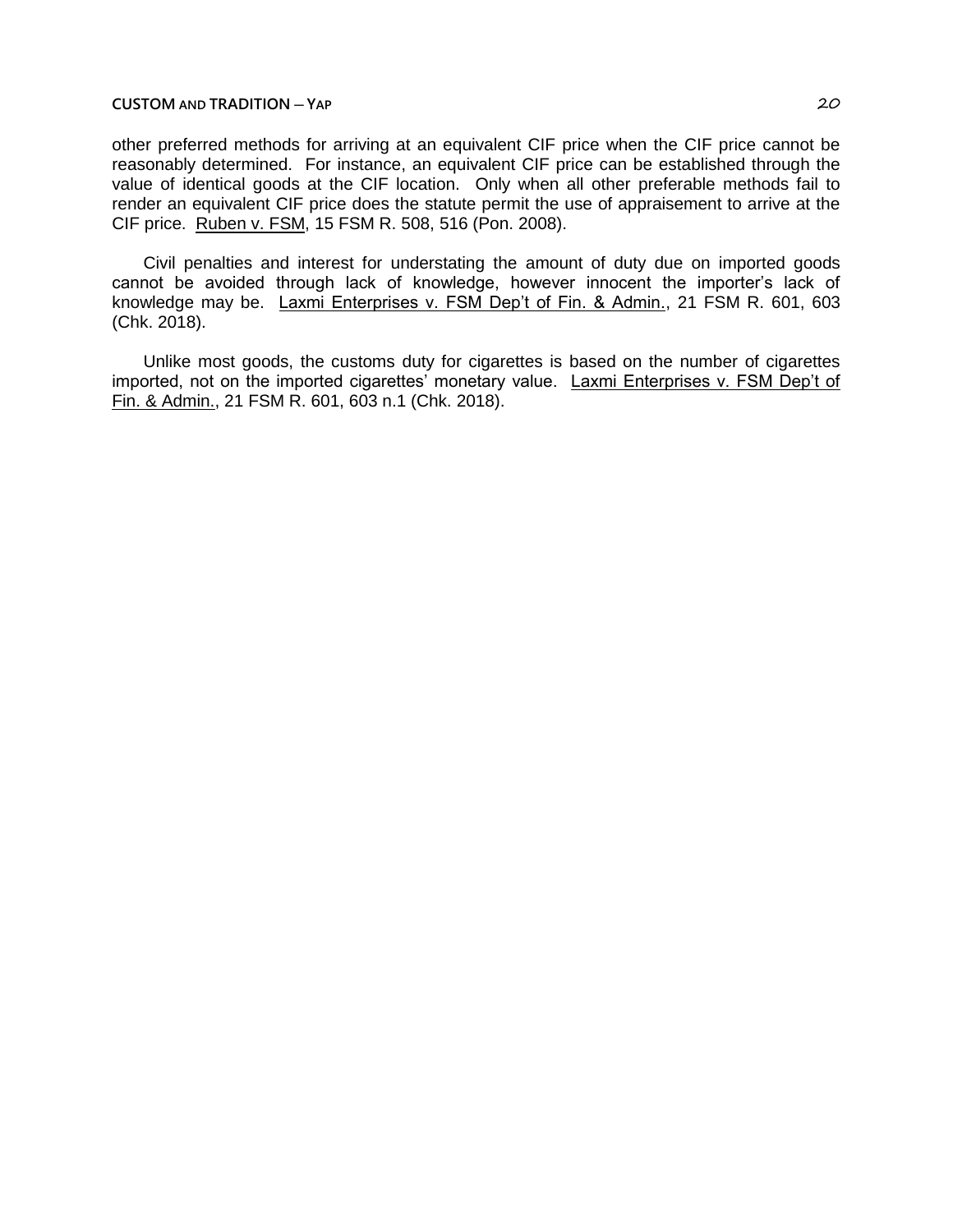## **CUSTOM AND TRADITION ─ YAP** 20

other preferred methods for arriving at an equivalent CIF price when the CIF price cannot be reasonably determined. For instance, an equivalent CIF price can be established through the value of identical goods at the CIF location. Only when all other preferable methods fail to render an equivalent CIF price does the statute permit the use of appraisement to arrive at the CIF price. Ruben v. FSM, 15 FSM R. 508, 516 (Pon. 2008).

Civil penalties and interest for understating the amount of duty due on imported goods cannot be avoided through lack of knowledge, however innocent the importer's lack of knowledge may be. Laxmi Enterprises v. FSM Dep't of Fin. & Admin., 21 FSM R. 601, 603 (Chk. 2018).

Unlike most goods, the customs duty for cigarettes is based on the number of cigarettes imported, not on the imported cigarettes' monetary value. Laxmi Enterprises v. FSM Dep't of Fin. & Admin., 21 FSM R. 601, 603 n.1 (Chk. 2018).